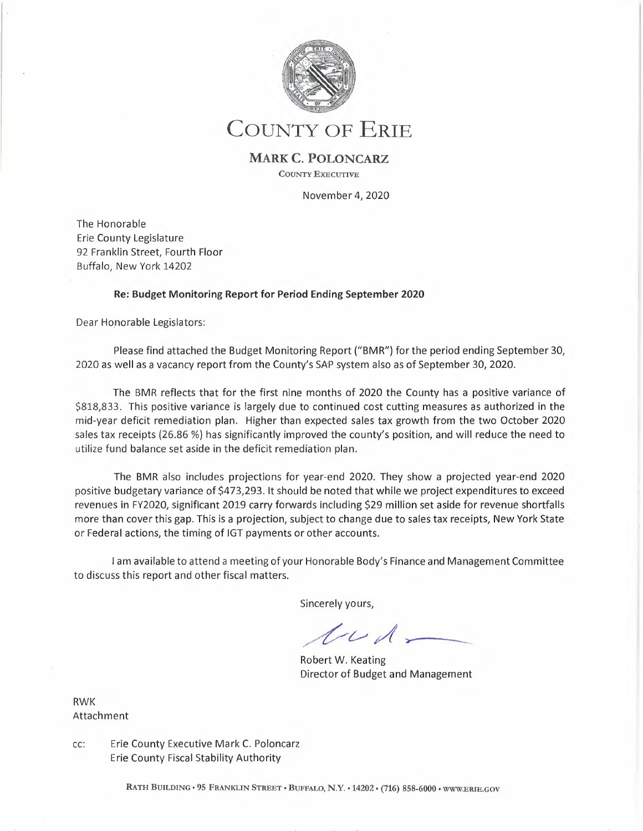

# **COUNTY OF ERIE**

## **MARK C. POLONCARZ**

**COUNTY EXECUTIVE** 

November 4, 2020

The Honorable Erie County Legislature 92 Franklin Street, Fourth Floor Buffalo, New York 14202

### **Re: Budget Monitoring Report for Period Ending September 2020**

Dear Honorable Legislators:

Please find attached the Budget Monitoring Report ("BMR") for the period ending September 30, 2020 as well as a vacancy report from the County's SAP system also as of September 30, 2020.

The BMR reflects that for the first nine months of 2020 the County has a positive variance of \$818,833. This positive variance is largely due to continued cost cutting measures as authorized in the mid-year deficit remediation plan. Higher than expected sales tax growth from the two October 2020 sales tax receipts (26.86 %) has significantly improved the county's position, and will reduce the need to utilize fund balance set aside in the deficit remediation plan.

The BMR also includes projections for year-end 2020. They show a projected year-end 2020 positive budgetary variance of \$473,293. It should be noted that while we project expenditures to exceed revenues in FY2020, significant 2019 carry forwards including \$29 million set aside for revenue shortfalls more than cover this gap. This is a projection, subject to change due to sales tax receipts, New York State or Federal actions, the timing of IGT payments or other accounts.

<sup>I</sup>am available to attend a meeting of your Honorable Body's Finance and Management Committee to discuss this report and other fiscal matters.

Sincerely yours,

 $t\nu\lambda$ 

Robert W. Keating Director of Budget and Management

RWK Attachment

cc: Erie County Executive Mark C. Poloncarz Erie County Fiscal Stability Authority

RATH BUILDING• 95 FRANKLIN STREET• BUFFALO, N.Y. • 14202 • (716) 858-6000 • WWW.ERIE.GOV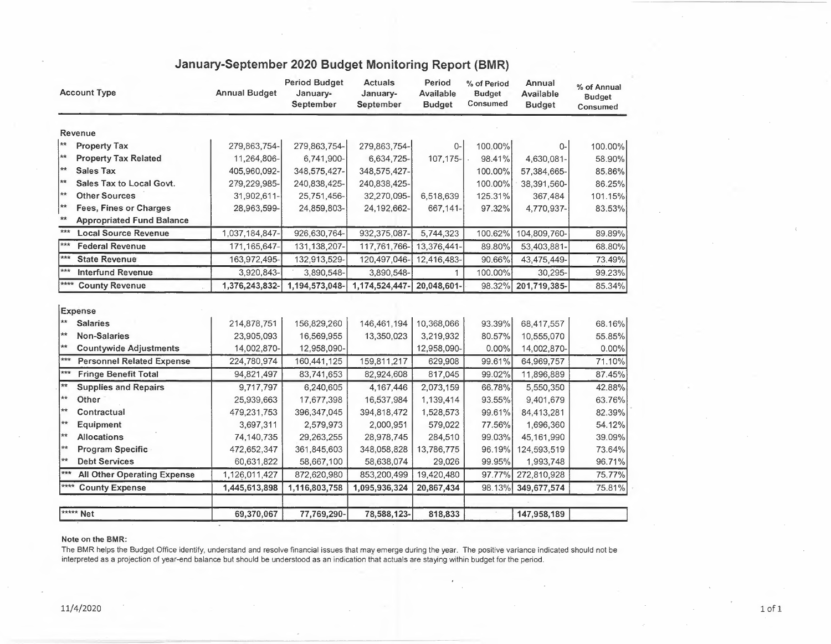|                   | <b>Account Type</b>                | <b>Annual Budget</b> | <b>Period Budget</b><br>January-<br>September | <b>Actuals</b><br>January-<br>September | Period<br>Available<br><b>Budget</b> | % of Period<br><b>Budget</b><br>Consumed | Annual<br><b>Available</b><br><b>Budget</b> | % of Annual<br><b>Budget</b><br>Consumed |
|-------------------|------------------------------------|----------------------|-----------------------------------------------|-----------------------------------------|--------------------------------------|------------------------------------------|---------------------------------------------|------------------------------------------|
|                   | Revenue                            |                      |                                               |                                         |                                      |                                          |                                             |                                          |
| ∗∗                | <b>Property Tax</b>                | 279,863,754-         | 279,863,754-                                  | 279,863,754-                            | $0-$                                 | 100.00%                                  | 0-                                          | 100.00%                                  |
| $**$              | <b>Property Tax Related</b>        | 11,264,806-          | 6,741,900-                                    | 6,634,725-                              | 107,175-                             | 98.41%                                   | 4,630,081-                                  | 58.90%                                   |
| $**$              | <b>Sales Tax</b>                   | 405,960,092-         | 348,575,427-                                  | 348,575,427-                            |                                      | 100.00%                                  | 57,384,665-                                 | 85.86%                                   |
| **                | Sales Tax to Local Govt.           | 279,229,985-         | 240,838,425-                                  | 240,838,425-                            |                                      | 100.00%                                  | 38,391,560-                                 | 86.25%                                   |
| **                | <b>Other Sources</b>               | 31,902,611-          | 25,751,456-                                   | 32,270,095-                             | 6,518,639                            | 125.31%                                  | 367,484                                     | 101.15%                                  |
| **                | <b>Fees, Fines or Charges</b>      | 28,963,599-          | 24,859,803-                                   | 24,192,662-                             | 667,141-                             | 97.32%                                   | 4,770,937-                                  | 83.53%                                   |
| $**$              | <b>Appropriated Fund Balance</b>   |                      |                                               |                                         |                                      |                                          |                                             |                                          |
| $\overline{***}$  | <b>Local Source Revenue</b>        | 1,037,184,847-       | 926,630,764-                                  | 932,375,087-                            | 5,744,323                            | 100.62%                                  | 104,809,760-                                | 89.89%                                   |
| $\star\star\star$ | <b>Federal Revenue</b>             | 171,165,647-         | 131, 138, 207-                                | 117,761,766-                            | 13,376,441-                          | 89.80%                                   | 53,403,881-                                 | 68.80%                                   |
| $***$             | <b>State Revenue</b>               | 163,972,495-         | 132,913,529-                                  | 120,497,046-                            | 12,416,483-                          | 90.66%                                   | 43,475,449-                                 | 73.49%                                   |
| $***$             | <b>Interfund Revenue</b>           | 3,920,843-           | 3,890,548-                                    | 3,890,548-                              | $\mathbf{1}$                         | 100.00%                                  | 30,295-                                     | 99.23%                                   |
| $****$            | <b>County Revenue</b>              | 1,376,243,832-       | 1,194,573,048-                                | 1,174,524,447-                          | 20,048,601-                          | 98.32%                                   | 201,719,385-                                | 85.34%                                   |
|                   | Expense                            |                      |                                               |                                         |                                      |                                          |                                             |                                          |
| $\star\star$      | <b>Salaries</b>                    | 214,878,751          | 156,829,260                                   | 146,461,194                             | 10,368,066                           | 93.39%                                   | 68,417,557                                  | 68.16%                                   |
| $**$              | <b>Non-Salaries</b>                | 23,905,093           | 16,569,955                                    | 13,350,023                              | 3,219,932                            | 80.57%                                   | 10,555,070                                  | 55.85%                                   |
| $**$              | <b>Countywide Adjustments</b>      | 14,002,870-          | 12,958,090-                                   |                                         | 12,958,090-                          | 0.00%                                    | 14,002,870-                                 | 0.00%                                    |
| ***               | <b>Personnel Related Expense</b>   | 224,780,974          | 160,441,125                                   | 159,811,217                             | 629,908                              | 99.61%                                   | 64,969,757                                  | 71.10%                                   |
| ***               | <b>Fringe Benefit Total</b>        | 94,821,497           | 83,741,653                                    | 82,924,608                              | 817,045                              | 99.02%                                   | 11,896,889                                  | 87.45%                                   |
| $**$              | <b>Supplies and Repairs</b>        | 9,717,797            | 6,240,605                                     | 4,167,446                               | 2,073,159                            | 66.78%                                   | 5,550,350                                   | 42.88%                                   |
| $\star\star$      | Other                              | 25,939,663           | 17,677,398                                    | 16,537,984                              | 1,139,414                            | 93.55%                                   | 9,401,679                                   | 63.76%                                   |
| $**$              | Contractual                        | 479,231,753          | 396, 347, 045                                 | 394,818,472                             | 1,528,573                            | 99.61%                                   | 84,413,281                                  | 82.39%                                   |
| $\star\star$      | Equipment                          | 3,697,311            | 2,579,973                                     | 2,000,951                               | 579,022                              | 77.56%                                   | 1,696,360                                   | 54.12%                                   |
| $\star\star$      | <b>Allocations</b>                 | 74,140,735           | 29,263,255                                    | 28,978,745                              | 284,510                              | 99.03%                                   | 45,161,990                                  | 39.09%                                   |
| $**$              | <b>Program Specific</b>            | 472,652,347          | 361,845,603                                   | 348,058,828                             | 13,786,775                           | 96.19%                                   | 124,593,519                                 | 73.64%                                   |
| $\star\star$      | <b>Debt Services</b>               | 60,631,822           | 58,667,100                                    | 58,638,074                              | 29,026                               | 99.95%                                   | 1,993,748                                   | 96.71%                                   |
| ***               | <b>All Other Operating Expense</b> | 1,126,011,427        | 872,620,980                                   | 853,200,499                             | 19,420,480                           | 97.77%                                   | 272,810,928                                 | 75.77%                                   |
| ****              | <b>County Expense</b>              | 1,445,613,898        | 1,116,803,758                                 | 1,095,936,324                           | 20,867,434                           | 98.13%                                   | 349,677,574                                 | 75.81%                                   |
|                   | ***** Net                          | 69,370,067           | 77,769,290-                                   | 78,588,123-                             | 818,833                              |                                          | 147,958,189                                 |                                          |

# **January-September 2020 Budget Monitoring Report (BMR)**

#### **Note on the BMR:**

The BMR helps the Budget Office identify, understand and resolve financial issues that may emerge during the year. The positive variance indicated should not be interpreted as a projection of year-end balance but should be understood as an indication that actuals are staying within budget for the period.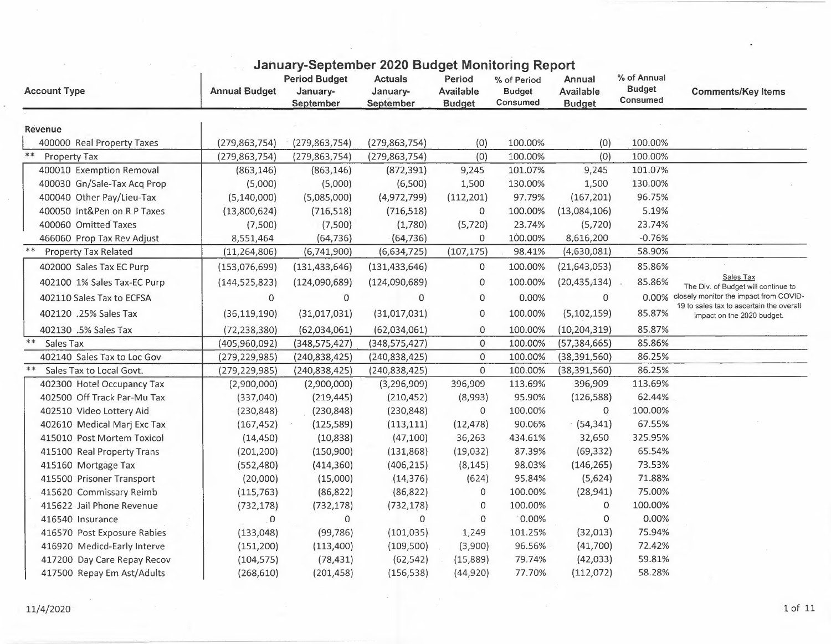| <b>Account Type</b>                       | <b>Annual Budget</b> | <b>Period Budget</b><br>January-<br>September |                     | Period<br><b>Available</b><br><b>Budget</b> | January-September 2020 Budget Monitoring Report<br>% of Period<br><b>Budget</b><br>Consumed | Annual<br><b>Available</b><br><b>Budget</b> | % of Annual<br><b>Budget</b><br><b>Consumed</b> | <b>Comments/Key Items</b>                                              |
|-------------------------------------------|----------------------|-----------------------------------------------|---------------------|---------------------------------------------|---------------------------------------------------------------------------------------------|---------------------------------------------|-------------------------------------------------|------------------------------------------------------------------------|
| <b>Revenue</b>                            |                      |                                               |                     |                                             |                                                                                             |                                             |                                                 |                                                                        |
| 400000 Real Property Taxes                | (279, 863, 754)      | (279, 863, 754)                               | (279, 863, 754)     | (0)                                         | 100.00%                                                                                     | (0)                                         | 100.00%                                         |                                                                        |
| $**$<br>Property Tax                      | (279, 863, 754)      | (279, 863, 754)                               | (279, 863, 754)     | (0)                                         | 100.00%                                                                                     | (0)                                         | 100.00%                                         |                                                                        |
| 400010 Exemption Removal                  | (863, 146)           | (863, 146)                                    | (872, 391)          | 9,245                                       | 101.07%                                                                                     | 9,245                                       | 101.07%                                         |                                                                        |
| 400030 Gn/Sale-Tax Acq Prop               | (5,000)              | (5,000)                                       | (6,500)             | 1,500                                       | 130.00%                                                                                     | 1,500                                       | 130.00%                                         |                                                                        |
| 400040 Other Pay/Lieu-Tax                 | (5, 140, 000)        | (5,085,000)                                   | (4,972,799)         | (112, 201)                                  | 97.79%                                                                                      | (167, 201)                                  | 96.75%                                          |                                                                        |
| 400050 Int&Pen on R P Taxes               | (13,800,624)         | (716, 518)                                    | (716, 518)          | $\Omega$                                    | 100.00%                                                                                     | (13,084,106)                                | 5.19%                                           |                                                                        |
| 400060 Omitted Taxes                      | (7,500)              | (7,500)                                       | (1,780)             | (5, 720)                                    | 23.74%                                                                                      | (5, 720)                                    | 23.74%                                          |                                                                        |
| 466060 Prop Tax Rev Adjust                | 8,551,464            | (64, 736)                                     | (64, 736)           | 0                                           | 100.00%                                                                                     | 8,616,200                                   | $-0.76%$                                        |                                                                        |
| $\ast\ast$<br><b>Property Tax Related</b> | (11, 264, 806)       | (6,741,900)                                   | (6,634,725)         | (107, 175)                                  | 98.41%                                                                                      | (4,630,081)                                 | 58.90%                                          |                                                                        |
| 402000 Sales Tax EC Purp                  | (153,076,699)        | (131, 433, 646)                               | (131, 433, 646)     | 0                                           | 100.00%                                                                                     | (21, 643, 053)                              | 85.86%                                          |                                                                        |
| 402100 1% Sales Tax-EC Purp               | (144, 525, 823)      | (124,090,689)                                 | (124,090,689)       | $\overline{0}$                              | 100.00%                                                                                     | (20, 435, 134)                              | 85.86%                                          | Sales Tax<br>The Div. of Budget will continue to                       |
| 402110 Sales Tax to ECFSA                 | 0                    | 0                                             | 0                   | 0                                           | 0.00%                                                                                       | 0                                           |                                                 | 0.00% closely monitor the impact from COVID-                           |
| 402120 .25% Sales Tax                     | (36, 119, 190)       | (31,017,031)                                  | (31,017,031)        | $\mathbf{0}$                                | 100.00%                                                                                     | (5, 102, 159)                               | 85.87%                                          | 19 to sales tax to ascertain the overall<br>impact on the 2020 budget. |
| 402130 .5% Sales Tax                      | (72, 238, 380)       | (62,034,061)                                  | (62,034,061)        | $\mathbf 0$                                 | 100.00%                                                                                     | (10, 204, 319)                              | 85.87%                                          |                                                                        |
| Sales Tax                                 | (405,960,092)        | (348, 575, 427)                               | (348, 575, 427)     | $\theta$                                    | 100.00%                                                                                     | (57, 384, 665)                              | 85.86%                                          |                                                                        |
| 402140 Sales Tax to Loc Gov               | (279, 229, 985)      | (240, 838, 425)                               | (240, 838, 425)     | $\mathbf 0$                                 | 100.00%                                                                                     | (38, 391, 560)                              | 86.25%                                          |                                                                        |
| Sales Tax to Local Govt.                  | (279, 229, 985)      | (240, 838, 425)                               | (240, 838, 425)     | $\mathbf 0$                                 | 100.00%                                                                                     | (38, 391, 560)                              | 86.25%                                          |                                                                        |
| 402300 Hotel Occupancy Tax                | (2,900,000)          | (2,900,000)                                   | (3,296,909)         | 396,909                                     | 113.69%                                                                                     | 396,909                                     | 113.69%                                         |                                                                        |
| 402500 Off Track Par-Mu Tax               | (337,040)            | (219, 445)                                    | (210, 452)          | (8,993)                                     | 95.90%                                                                                      | (126, 588)                                  | 62.44%                                          |                                                                        |
| 402510 Video Lottery Aid                  | (230, 848)           | (230, 848)                                    | (230, 848)          | 0                                           | 100.00%                                                                                     | $\mathbf 0$                                 | 100.00%                                         |                                                                        |
| 402610 Medical Marj Exc Tax               | (167, 452)           | (125, 589)                                    | (113, 111)          | (12, 478)                                   | 90.06%                                                                                      | (54, 341)                                   | 67.55%                                          |                                                                        |
| 415010 Post Mortem Toxicol                | (14, 450)            | (10, 838)                                     | (47, 100)           | 36,263                                      | 434.61%                                                                                     | 32,650                                      | 325.95%                                         |                                                                        |
| 415100 Real Property Trans                | (201, 200)           | (150,900)                                     | (131, 868)          | (19,032)                                    | 87.39%                                                                                      | (69, 332)                                   | 65.54%                                          |                                                                        |
| 415160 Mortgage Tax                       | (552, 480)           | (414, 360)                                    | (406, 215)          | (8, 145)                                    | 98.03%                                                                                      | (146, 265)                                  | 73.53%                                          |                                                                        |
| 415500 Prisoner Transport                 | (20,000)             | (15,000)                                      | (14, 376)           | (624)                                       | 95.84%                                                                                      | (5,624)                                     | 71.88%                                          |                                                                        |
| 415620 Commissary Reimb                   | (115, 763)           | (86, 822)                                     | (86, 822)           | 0                                           | 100.00%                                                                                     | (28, 941)                                   | 75.00%                                          |                                                                        |
| 415622 Jail Phone Revenue                 | (732, 178)           | (732, 178)                                    | (732, 178)          | 0                                           | 100.00%                                                                                     | $\Omega$                                    | 100.00%                                         |                                                                        |
| 416540 Insurance                          | 0                    | 0                                             | $\mathsf{O}\xspace$ | $\mathbf 0$                                 | 0.00%                                                                                       | $\mathbf 0$                                 | 0.00%                                           |                                                                        |
| 416570 Post Exposure Rabies               | (133,048)            | (99, 786)                                     | (101, 035)          | 1,249                                       | 101.25%                                                                                     | (32,013)                                    | 75.94%                                          |                                                                        |
| 416920 Medicd-Early Interve               | (151, 200)           | (113,400)                                     | (109, 500)          | (3,900)                                     | 96.56%                                                                                      | (41,700)                                    | 72.42%                                          |                                                                        |
| 417200 Day Care Repay Recov               | (104, 575)           | (78, 431)                                     | (62, 542)           | (15,889)                                    | 79.74%                                                                                      | (42,033)                                    | 59.81%                                          |                                                                        |
| 417500 Repay Em Ast/Adults                | (268, 610)           | (201, 458)                                    | (156, 538)          | (44, 920)                                   | 77.70%                                                                                      | (112,072)                                   | 58.28%                                          |                                                                        |

## **January-September 2020 Budget Monitoring Report**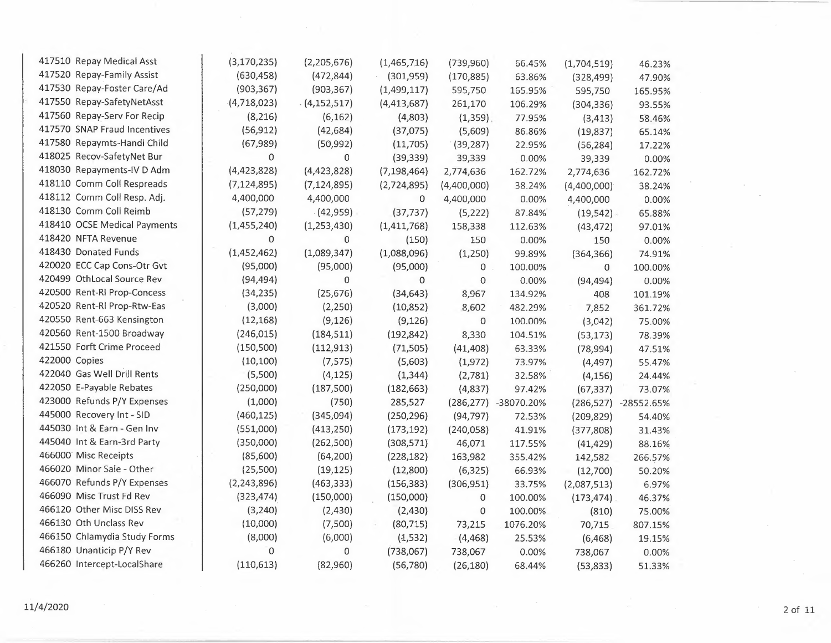| 417510 Repay Medical Asst    | (3, 170, 235)  | (2,205,676)   | (1,465,716)   | (739,960)   | 66.45%               | (1,704,519)   | 46.23%               |
|------------------------------|----------------|---------------|---------------|-------------|----------------------|---------------|----------------------|
| 417520 Repay-Family Assist   | (630, 458)     | (472, 844)    | (301, 959)    | (170, 885)  | 63.86%               | (328, 499)    | 47.90%               |
| 417530 Repay-Foster Care/Ad  | (903, 367)     | (903, 367)    | (1,499,117)   | 595,750     | 165.95%              | 595,750       | 165.95%              |
| 417550 Repay-SafetyNetAsst   | $-(4,718,023)$ | (4, 152, 517) | (4, 413, 687) | 261,170     | 106.29%              | (304, 336)    | 93.55%               |
| 417560 Repay-Serv For Recip  | (8, 216)       | (6, 162)      | (4,803)       | (1,359)     | 77.95%               | (3, 413)      | 58.46%               |
| 417570 SNAP Fraud Incentives | (56, 912)      | (42, 684)     | (37,075)      | (5,609)     | 86.86%               | (19, 837)     | 65.14%               |
| 417580 Repaymts-Handi Child  | (67, 989)      | (50, 992)     | (11, 705)     | (39, 287)   | 22.95%               | (56, 284)     | 17.22%               |
| 418025 Recov-SafetyNet Bur   | $\mathbf 0$    | 0             | (39, 339)     | 39,339      | 0.00%                | 39,339        | 0.00%                |
| 418030 Repayments-IV D Adm   | (4,423,828)    | (4,423,828)   | (7, 198, 464) | 2,774,636   | 162.72%              | 2,774,636     | 162.72%              |
| 418110 Comm Coll Respreads   | (7, 124, 895)  | (7, 124, 895) | (2,724,895)   | (4,400,000) | 38.24%               | (4,400,000)   | 38.24%               |
| 418112 Comm Coll Resp. Adj.  | 4,400,000      | 4,400,000     | 0             | 4,400,000   | 0.00%                | 4,400,000     | 0.00%                |
| 418130 Comm Coll Reimb       | (57, 279)      | (42,959)      | (37, 737)     | (5, 222)    | 87.84%               | $(19, 542)$ . | 65.88%               |
| 418410 OCSE Medical Payments | (1,455,240)    | (1, 253, 430) | (1,411,768)   | 158,338     | 112.63%              | (43, 472)     | 97.01%               |
| 418420 NFTA Revenue          | $\mathbf 0$    | 0             | (150)         | 150         | 0.00%                | 150           | 0.00%                |
| 418430 Donated Funds         | (1,452,462)    | (1,089,347)   | (1,088,096)   | (1,250)     | 99.89%               | (364, 366)    | 74.91%               |
| 420020 ECC Cap Cons-Otr Gvt  | (95,000)       | (95,000)      | (95,000)      | 0           | 100.00%              | 0             | 100.00%              |
| 420499 OthLocal Source Rev   | (94, 494)      | 0             | 0             | 0           | 0.00%                | (94, 494)     | 0.00%                |
| 420500 Rent-Rl Prop-Concess  | (34, 235)      | (25, 676)     | (34, 643)     | 8,967       | 134.92%              | 408           | 101.19%              |
| 420520 Rent-Rl Prop-Rtw-Eas  | (3,000)        | (2, 250)      | (10, 852)     | 8,602       | 482.29%              | 7,852         | 361.72%              |
| 420550 Rent-663 Kensington   | (12, 168)      | (9, 126)      | (9, 126)      | 0           | 100.00%              | (3,042)       | 75.00%               |
| 420560 Rent-1500 Broadway    | (246, 015)     | (184, 511)    | (192, 842)    | 8,330       | 104.51%              | (53, 173)     | 78.39%               |
| 421550 Forft Crime Proceed   | (150, 500)     | (112, 913)    | (71, 505)     | (41, 408)   | 63.33%               | (78, 994)     | 47.51%               |
| 422000 Copies                | (10, 100)      | (7, 575)      | (5,603)       | (1,972)     | 73.97%               | (4, 497)      | 55.47%               |
| 422040 Gas Well Drill Rents  | (5,500)        | (4, 125)      | (1, 344)      | (2,781)     | 32.58%               | (4, 156)      | 24.44%               |
| 422050 E-Payable Rebates     | (250,000)      | (187, 500)    | (182, 663)    | (4,837)     | 97.42%               | (67, 337)     | 73.07%               |
| 423000 Refunds P/Y Expenses  | (1,000)        | (750)         | 285,527       |             | (286,277) -38070.20% |               | (286,527) -28552.65% |
| 445000 Recovery Int - SID    | (460, 125)     | (345,094)     | (250, 296)    | (94, 797)   | 72.53%               | (209, 829)    | 54.40%               |
| 445030 Int & Earn - Gen Inv  | (551,000)      | (413, 250)    | (173, 192)    | (240, 058)  | 41.91%               | (377, 808)    | 31.43%               |
| 445040 Int & Earn-3rd Party  | (350,000)      | (262, 500)    | (308, 571)    | 46,071      | 117.55%              | (41, 429)     | 88.16%               |
| 466000 Misc Receipts         | (85,600)       | (64, 200)     | (228, 182)    | 163,982     | 355.42%              | 142,582       | 266.57%              |
| 466020 Minor Sale - Other    | (25,500)       | (19, 125)     | (12,800)      | (6, 325)    | 66.93%               | (12,700)      | 50.20%               |
| 466070 Refunds P/Y Expenses  | (2, 243, 896)  | (463, 333)    | (156, 383)    | (306, 951)  | 33.75%               | (2,087,513)   | 6.97%                |
| 466090 Misc Trust Fd Rev     | (323, 474)     | (150,000)     | (150,000)     | 0           | 100.00%              | (173, 474)    | 46.37%               |
| 466120 Other Misc DISS Rev   | (3, 240)       | (2,430)       | (2,430)       | 0           | 100.00%              | (810)         | 75.00%               |
| 466130 Oth Unclass Rev       | (10,000)       | (7,500)       | (80, 715)     | 73,215      | 1076.20%             | 70,715        | 807.15%              |
| 466150 Chlamydia Study Forms | (8,000)        | (6,000)       | (1, 532)      | (4,468)     | 25.53%               | (6, 468)      | 19.15%               |
| 466180 Unanticip P/Y Rev     | 0              | 0             | (738,067)     | 738,067     | 0.00%                | 738,067       | 0.00%                |
| 466260 Intercept-LocalShare  | (110, 613)     | (82,960)      | (56, 780)     | (26, 180)   | 68.44%               | (53, 833)     | 51.33%               |

 $\sim$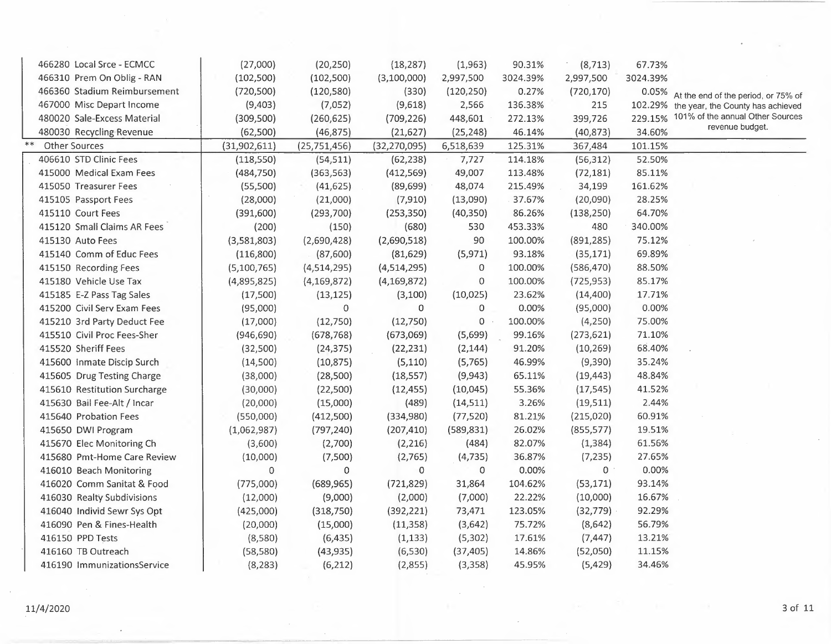|      | 466280 Local Srce - ECMCC    | (27,000)     | (20, 250)      | (18, 287)      | (1,963)     | 90.31%   | (8, 713)     | 67.73%   |                                     |
|------|------------------------------|--------------|----------------|----------------|-------------|----------|--------------|----------|-------------------------------------|
|      | 466310 Prem On Oblig - RAN   | (102, 500)   | (102,500)      | (3,100,000)    | 2,997,500   | 3024.39% | 2,997,500    | 3024.39% |                                     |
|      | 466360 Stadium Reimbursement | (720, 500)   | (120, 580)     | (330)          | (120, 250)  | 0.27%    | (720, 170)   | 0.05%    | At the end of the period, or 75% of |
|      | 467000 Misc Depart Income    | (9,403)      | (7,052)        | (9,618)        | 2,566       | 136.38%  | 215          | 102.29%  | the year, the County has achieved   |
|      | 480020 Sale-Excess Material  | (309, 500)   | (260, 625)     | (709, 226)     | 448,601     | 272.13%  | 399,726      | 229.15%  | 101% of the annual Other Sources    |
|      | 480030 Recycling Revenue     | (62,500)     | (46, 875)      | (21, 627)      | (25, 248)   | 46.14%   | (40, 873)    | 34.60%   | revenue budget.                     |
| $**$ | <b>Other Sources</b>         | (31,902,611) | (25, 751, 456) | (32, 270, 095) | 6,518,639   | 125.31%  | 367,484      | 101.15%  |                                     |
|      | 406610 STD Clinic Fees       | (118, 550)   | (54, 511)      | (62, 238)      | 7,727       | 114.18%  | (56, 312)    | 52.50%   |                                     |
|      | 415000 Medical Exam Fees     | (484, 750)   | (363, 563)     | (412, 569)     | 49,007      | 113.48%  | (72, 181)    | 85.11%   |                                     |
|      | 415050 Treasurer Fees        | (55,500)     | (41, 625)      | (89, 699)      | 48,074      | 215.49%  | 34,199       | 161.62%  |                                     |
|      | 415105 Passport Fees         | (28,000)     | (21,000)       | (7, 910)       | (13,090)    | 37.67%   | (20,090)     | 28.25%   |                                     |
|      | 415110 Court Fees            | (391,600)    | (293,700)      | (253, 350)     | (40, 350)   | 86.26%   | (138, 250)   | 64.70%   |                                     |
|      | 415120 Small Claims AR Fees  | (200)        | (150)          | (680)          | 530         | 453.33%  | 480          | 340.00%  |                                     |
|      | 415130 Auto Fees             | (3,581,803)  | (2,690,428)    | (2,690,518)    | 90          | 100.00%  | (891, 285)   | 75.12%   |                                     |
|      | 415140 Comm of Educ Fees     | (116,800)    | (87,600)       | (81, 629)      | (5, 971)    | 93.18%   | (35, 171)    | 69.89%   |                                     |
|      | 415150 Recording Fees        | (5,100,765)  | (4,514,295)    | (4,514,295)    | $\mathbf 0$ | 100.00%  | (586, 470)   | 88.50%   |                                     |
|      | 415180 Vehicle Use Tax       | (4,895,825)  | (4, 169, 872)  | (4, 169, 872)  | $\mathbf 0$ | 100.00%  | (725, 953)   | 85.17%   |                                     |
|      | 415185 E-Z Pass Tag Sales    | (17,500)     | (13, 125)      | (3,100)        | (10, 025)   | 23.62%   | (14, 400)    | 17.71%   |                                     |
|      | 415200 Civil Serv Exam Fees  | (95,000)     | $\Omega$       | $\Omega$       | $\mathbf 0$ | 0.00%    | (95,000)     | 0.00%    |                                     |
|      | 415210 3rd Party Deduct Fee  | (17,000)     | (12,750)       | (12,750)       | 0           | 100.00%  | (4,250)      | 75.00%   |                                     |
|      | 415510 Civil Proc Fees-Sher  | (946, 690)   | (678, 768)     | (673,069)      | (5,699)     | 99.16%   | (273, 621)   | 71.10%   |                                     |
|      | 415520 Sheriff Fees          | (32,500)     | (24, 375)      | (22, 231)      | (2, 144)    | 91.20%   | (10, 269)    | 68.40%   |                                     |
|      | 415600 Inmate Discip Surch   | (14,500)     | (10, 875)      | (5, 110)       | (5, 765)    | 46.99%   | (9,390)      | 35.24%   |                                     |
|      | 415605 Drug Testing Charge   | (38,000)     | (28,500)       | (18, 557)      | (9,943)     | 65.11%   | (19, 443)    | 48.84%   |                                     |
|      | 415610 Restitution Surcharge | (30,000)     | (22,500)       | (12, 455)      | (10,045)    | 55.36%   | (17, 545)    | 41.52%   |                                     |
|      | 415630 Bail Fee-Alt / Incar  | (20,000)     | (15,000)       | (489)          | (14, 511)   | 3.26%    | (19, 511)    | 2.44%    |                                     |
|      | 415640 Probation Fees        | (550,000)    | (412,500)      | (334,980)      | (77, 520)   | 81.21%   | (215,020)    | 60.91%   |                                     |
|      | 415650 DWI Program           | (1,062,987)  | (797, 240)     | (207, 410)     | (589, 831)  | 26.02%   | (855, 577)   | 19.51%   |                                     |
|      | 415670 Elec Monitoring Ch    | (3,600)      | (2,700)        | (2, 216)       | (484)       | 82.07%   | (1, 384)     | 61.56%   |                                     |
|      | 415680 Pmt-Home Care Review  | (10,000)     | (7,500)        | (2,765)        | (4, 735)    | 36.87%   | (7, 235)     | 27.65%   |                                     |
|      | 416010 Beach Monitoring      | 0            | 0              | 0              | 0           | 0.00%    | $\mathbf{0}$ | 0.00%    |                                     |
|      | 416020 Comm Sanitat & Food   | (775,000)    | (689, 965)     | (721, 829)     | 31,864      | 104.62%  | (53, 171)    | 93.14%   |                                     |
|      | 416030 Realty Subdivisions   | (12,000)     | (9,000)        | (2,000)        | (7,000)     | 22.22%   | (10,000)     | 16.67%   |                                     |
|      | 416040 Individ Sewr Sys Opt  | (425,000)    | (318, 750)     | (392, 221)     | 73,471      | 123.05%  | (32, 779)    | 92.29%   |                                     |
|      | 416090 Pen & Fines-Health    | (20,000)     | (15,000)       | (11, 358)      | (3,642)     | 75.72%   | (8,642)      | 56.79%   |                                     |
|      | 416150 PPD Tests             | (8,580)      | (6, 435)       | (1, 133)       | (5,302)     | 17.61%   | (7, 447)     | 13.21%   |                                     |
|      | 416160 TB Outreach           | (58, 580)    | (43, 935)      | (6, 530)       | (37, 405)   | 14.86%   | (52,050)     | 11.15%   |                                     |
|      | 416190 ImmunizationsService  | (8, 283)     | (6, 212)       | (2,855)        | (3,358)     | 45.95%   | (5, 429)     | 34.46%   |                                     |
|      |                              |              |                |                |             |          |              |          |                                     |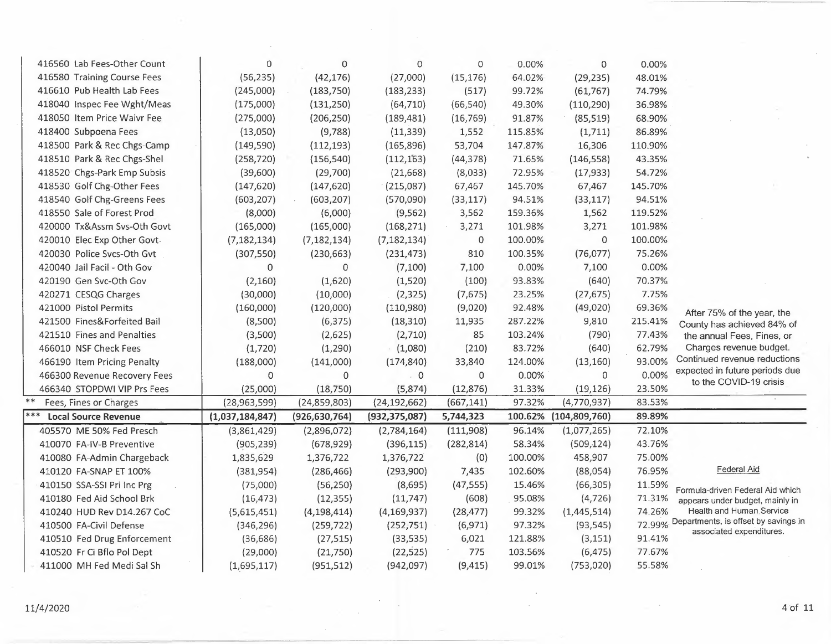| 416560 Lab Fees-Other Count        | $\mathbf 0$     | 0               | $\mathbf 0$     | 0              | 0.00%   | 0               | 0.00%   |                                                                         |
|------------------------------------|-----------------|-----------------|-----------------|----------------|---------|-----------------|---------|-------------------------------------------------------------------------|
| 416580 Training Course Fees        | (56, 235)       | (42, 176)       | (27,000)        | (15, 176)      | 64.02%  | (29, 235)       | 48.01%  |                                                                         |
| 416610 Pub Health Lab Fees         | (245,000)       | (183, 750)      | (183, 233)      | (517)          | 99.72%  | (61, 767)       | 74.79%  |                                                                         |
| 418040 Inspec Fee Wght/Meas        | (175,000)       | (131, 250)      | (64, 710)       | (66, 540)      | 49.30%  | (110, 290)      | 36.98%  |                                                                         |
| 418050 Item Price Waivr Fee        | (275,000)       | (206, 250)      | (189, 481)      | (16, 769)      | 91.87%  | (85, 519)       | 68.90%  |                                                                         |
| 418400 Subpoena Fees               | (13,050)        | (9,788)         | (11, 339)       | 1,552          | 115.85% | (1, 711)        | 86.89%  |                                                                         |
| 418500 Park & Rec Chgs-Camp        | (149, 590)      | (112, 193)      | (165, 896)      | 53,704         | 147.87% | 16,306          | 110.90% |                                                                         |
| 418510 Park & Rec Chgs-Shel        | (258, 720)      | (156, 540)      | (112, 163)      | (44, 378)      | 71.65%  | (146, 558)      | 43.35%  |                                                                         |
| 418520 Chgs-Park Emp Subsis        | (39,600)        | (29,700)        | (21, 668)       | (8,033)        | 72.95%  | (17, 933)       | 54.72%  |                                                                         |
| 418530 Golf Chg-Other Fees         | (147, 620)      | (147, 620)      | (215,087)       | 67,467         | 145.70% | 67,467          | 145.70% |                                                                         |
| 418540 Golf Chg-Greens Fees        | (603, 207)      | (603, 207)      | (570,090)       | (33, 117)      | 94.51%  | (33, 117)       | 94.51%  |                                                                         |
| 418550 Sale of Forest Prod         | (8,000)         | (6,000)         | (9, 562)        | 3,562          | 159.36% | 1,562           | 119.52% |                                                                         |
| 420000 Tx&Assm Svs-Oth Govt        | (165,000)       | (165,000)       | (168, 271)      | 3,271          | 101.98% | 3,271           | 101.98% |                                                                         |
| 420010 Elec Exp Other Govt-        | (7, 182, 134)   | (7, 182, 134)   | (7, 182, 134)   | $\,0\,$        | 100.00% | 0               | 100.00% |                                                                         |
| 420030 Police Svcs-Oth Gvt         | (307, 550)      | (230, 663)      | (231, 473)      | 810            | 100.35% | (76, 077)       | 75.26%  |                                                                         |
| 420040 Jail Facil - Oth Gov        | $\Omega$        | $\mathbf{0}$    | (7,100)         | 7,100          | 0.00%   | 7,100           | 0.00%   |                                                                         |
| 420190 Gen Svc-Oth Gov             | (2, 160)        | (1,620)         | (1,520)         | (100)          | 93.83%  | (640)           | 70.37%  |                                                                         |
| 420271 CESQG Charges               | (30,000)        | (10,000)        | (2, 325)        | (7,675)        | 23.25%  | (27, 675)       | 7.75%   |                                                                         |
| 421000 Pistol Permits              | (160,000)       | (120,000)       | (110,980)       | (9,020)        | 92.48%  | (49,020)        | 69.36%  | After 75% of the year, the                                              |
| 421500 Fines&Forfeited Bail        | (8,500)         | (6, 375)        | (18, 310)       | 11,935         | 287.22% | 9,810           | 215.41% | County has achieved 84% of                                              |
| 421510 Fines and Penalties         | (3,500)         | (2,625)         | (2,710)         | 85             | 103.24% | (790)           | 77.43%  | the annual Fees, Fines, or                                              |
| 466010 NSF Check Fees              | (1,720)         | (1, 290)        | (1,080)         | (210)          | 83.72%  | (640)           | 62.79%  | Charges revenue budget.                                                 |
| 466190 Item Pricing Penalty        | (188,000)       | (141,000)       | (174, 840)      | 33,840         | 124.00% | (13, 160)       | 93.00%  | Continued revenue reductions                                            |
| 466300 Revenue Recovery Fees       | 0               | 0               | $\sim 0$        | $\overline{0}$ | 0.00%   | 0               | 0.00%   | expected in future periods due<br>to the COVID-19 crisis                |
| 466340 STOPDWI VIP Prs Fees        | (25,000)        | (18, 750)       | (5,874)         | (12, 876)      | 31.33%  | (19, 126)       | 23.50%  |                                                                         |
| $***$<br>Fees, Fines or Charges    | (28,963,599)    | (24, 859, 803)  | (24, 192, 662)  | (667, 141)     | 97.32%  | (4,770,937)     | 83.53%  |                                                                         |
| ***<br><b>Local Source Revenue</b> | (1,037,184,847) | (926, 630, 764) | (932, 375, 087) | 5,744,323      | 100.62% | (104, 809, 760) | 89.89%  |                                                                         |
| 405570 ME 50% Fed Presch           | (3,861,429)     | (2,896,072)     | (2,784,164)     | (111,908)      | 96.14%  | (1,077,265)     | 72.10%  |                                                                         |
| 410070 FA-IV-B Preventive          | (905, 239)      | (678, 929)      | (396, 115)      | (282, 814)     | 58.34%  | (509, 124)      | 43.76%  |                                                                         |
| 410080 FA-Admin Chargeback         | 1,835,629       | 1,376,722       | 1,376,722       | (0)            | 100.00% | 458,907         | 75.00%  |                                                                         |
| 410120 FA-SNAP ET 100%             | (381, 954)      | (286, 466)      | (293,900)       | 7,435          | 102.60% | (88,054)        | 76.95%  | Federal Aid                                                             |
| 410150 SSA-SSI Pri Inc Prg         | (75,000)        | (56, 250)       | (8,695)         | (47, 555)      | 15.46%  | (66, 305)       | 11.59%  | Formula-driven Federal Aid which                                        |
| 410180 Fed Aid School Brk          | (16, 473)       | (12, 355)       | (11, 747)       | (608)          | 95.08%  | (4, 726)        | 71.31%  | appears under budget, mainly in                                         |
| 410240 HUD Rev D14.267 CoC         | (5,615,451)     | (4, 198, 414)   | (4, 169, 937)   | (28, 477)      | 99.32%  | (1,445,514)     | 74.26%  | Health and Human Service                                                |
| 410500 FA-Civil Defense            | (346, 296)      | (259, 722)      | (252, 751)      | (6, 971)       | 97.32%  | (93, 545)       |         | 72.99% Departments, is offset by savings in<br>associated expenditures. |
| 410510 Fed Drug Enforcement        | (36, 686)       | (27, 515)       | (33, 535)       | 6,021          | 121.88% | (3, 151)        | 91.41%  |                                                                         |
| 410520 Fr Ci Bflo Pol Dept         | (29,000)        | (21,750)        | (22, 525)       | 775            | 103.56% | (6, 475)        | 77.67%  |                                                                         |
| 411000 MH Fed Medi Sal Sh          | (1,695,117)     | (951, 512)      | (942, 097)      | (9, 415)       | 99.01%  | (753, 020)      | 55.58%  |                                                                         |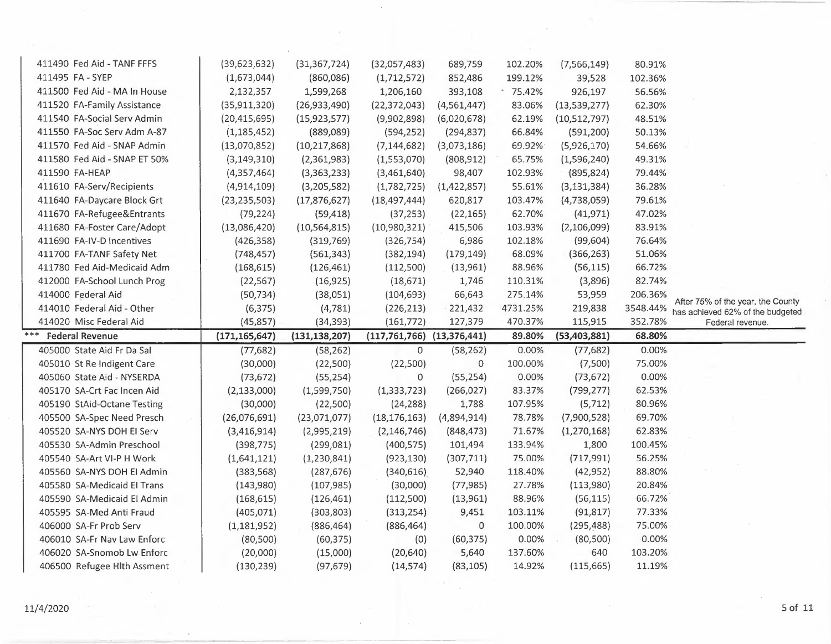| 411490 Fed Aid - TANF FFFS    | (39, 623, 632)  | (31, 367, 724)  | (32,057,483)                       | 689,759       | 102.20%  | (7, 566, 149)  | 80.91%   |                                                                       |
|-------------------------------|-----------------|-----------------|------------------------------------|---------------|----------|----------------|----------|-----------------------------------------------------------------------|
| 411495 FA - SYEP              | (1,673,044)     | (860,086)       | (1,712,572)                        | 852,486       | 199.12%  | 39,528         | 102.36%  |                                                                       |
| 411500 Fed Aid - MA In House  | 2,132,357       | 1,599,268       | 1,206,160                          | 393,108       | 75.42%   | 926,197        | 56.56%   |                                                                       |
| 411520 FA-Family Assistance   | (35, 911, 320)  | (26,933,490)    | (22, 372, 043)                     | (4, 561, 447) | 83.06%   | (13,539,277)   | 62.30%   |                                                                       |
| 411540 FA-Social Serv Admin   | (20, 415, 695)  | (15, 923, 577)  | (9,902,898)                        | (6,020,678)   | 62.19%   | (10,512,797)   | 48.51%   |                                                                       |
| 411550 FA-Soc Serv Adm A-87   | (1, 185, 452)   | (889,089)       | (594, 252)                         | (294, 837)    | 66.84%   | (591, 200)     | 50.13%   |                                                                       |
| 411570 Fed Aid - SNAP Admin   | (13,070,852)    | (10, 217, 868)  | (7, 144, 682)                      | (3,073,186)   | 69.92%   | (5,926,170)    | 54.66%   |                                                                       |
| 411580 Fed Aid - SNAP ET 50%  | (3, 149, 310)   | (2,361,983)     | (1,553,070)                        | (808, 912)    | 65.75%   | (1,596,240)    | 49.31%   |                                                                       |
| 411590 FA-HEAP                | (4,357,464)     | (3,363,233)     | (3,461,640)                        | 98,407        | 102.93%  | (895, 824)     | 79.44%   |                                                                       |
| 411610 FA-Serv/Recipients     | (4,914,109)     | (3,205,582)     | (1,782,725)                        | (1,422,857)   | 55.61%   | (3, 131, 384)  | 36.28%   |                                                                       |
| 411640 FA-Daycare Block Grt   | (23, 235, 503)  | (17, 876, 627)  | (18, 497, 444)                     | 620,817       | 103.47%  | (4,738,059)    | 79.61%   |                                                                       |
| 411670 FA-Refugee&Entrants    | (79, 224)       | (59, 418)       | (37, 253)                          | (22, 165)     | 62.70%   | (41, 971)      | 47.02%   |                                                                       |
| 411680 FA-Foster Care/Adopt   | (13,086,420)    | (10, 564, 815)  | (10,980,321)                       | 415,506       | 103.93%  | (2,106,099)    | 83.91%   |                                                                       |
| 411690 FA-IV-D Incentives     | (426, 358)      | (319,769)       | (326, 754)                         | 6,986         | 102.18%  | (99, 604)      | 76.64%   |                                                                       |
| 411700 FA-TANF Safety Net     | (748, 457)      | (561, 343)      | (382, 194)                         | (179, 149)    | 68.09%   | (366, 263)     | 51.06%   |                                                                       |
| 411780 Fed Aid-Medicaid Adm   | (168, 615)      | (126, 461)      | (112,500)                          | (13,961)      | 88.96%   | (56, 115)      | 66.72%   |                                                                       |
| 412000 FA-School Lunch Prog   | (22, 567)       | (16, 925)       | (18,671)                           | 1,746         | 110.31%  | (3,896)        | 82.74%   |                                                                       |
| 414000 Federal Aid            | (50, 734)       | (38,051)        | (104, 693)                         | 66,643        | 275.14%  | 53,959         | 206.36%  |                                                                       |
| 414010 Federal Aid - Other    | (6, 375)        | (4, 781)        | (226, 213)                         | 221,432       | 4731.25% | 219,838        | 3548.44% | After 75% of the year, the County<br>has achieved 62% of the budgeted |
|                               |                 |                 |                                    |               |          |                |          |                                                                       |
| 414020 Misc Federal Aid       | (45, 857)       | (34, 393)       | (161, 772)                         | 127,379       | 470.37%  | 115,915        | 352.78%  | Federal revenue.                                                      |
| ***<br><b>Federal Revenue</b> | (171, 165, 647) | (131, 138, 207) | $(117, 761, 766)$ $(13, 376, 441)$ |               | 89.80%   | (53, 403, 881) | 68.80%   |                                                                       |
| 405000 State Aid Fr Da Sal    | (77, 682)       | (58, 262)       | 0                                  | (58, 262)     | 0.00%    | (77, 682)      | 0.00%    |                                                                       |
| 405010 St Re Indigent Care    | (30,000)        | (22,500)        | (22,500)                           | $\mathbf{0}$  | 100.00%  | (7,500)        | 75.00%   |                                                                       |
| 405060 State Aid - NYSERDA    | (73, 672)       | (55, 254)       | 0                                  | (55, 254)     | 0.00%    | (73, 672)      | 0.00%    |                                                                       |
| 405170 SA-Crt Fac Incen Aid   | (2, 133, 000)   | (1,599,750)     | (1, 333, 723)                      | (266, 027)    | 83.37%   | (799, 277)     | 62.53%   |                                                                       |
| 405190 StAid-Octane Testing   | (30,000)        | (22,500)        | (24, 288)                          | 1,788         | 107.95%  | (5, 712)       | 80.96%   |                                                                       |
| 405500 SA-Spec Need Presch    | (26,076,691)    | (23,071,077)    | (18, 176, 163)                     | (4,894,914)   | 78.78%   | (7,900,528)    | 69.70%   |                                                                       |
| 405520 SA-NYS DOH EI Serv     | (3,416,914)     | (2,995,219)     | (2, 146, 746)                      | (848, 473)    | 71.67%   | (1,270,168)    | 62.83%   |                                                                       |
| 405530 SA-Admin Preschool     | (398, 775)      | (299,081)       | (400, 575)                         | 101,494       | 133.94%  | 1,800          | 100.45%  |                                                                       |
| 405540 SA-Art VI-P H Work     | (1,641,121)     | (1, 230, 841)   | (923, 130)                         | (307, 711)    | 75.00%   | (717, 991)     | 56.25%   |                                                                       |
| 405560 SA-NYS DOH El Admin    | (383, 568)      | (287, 676)      | (340, 616)                         | 52,940        | 118.40%  | (42, 952)      | 88.80%   |                                                                       |
| 405580 SA-Medicaid El Trans   | (143,980)       | (107, 985)      | (30,000)                           | (77, 985)     | 27.78%   | (113,980)      | 20.84%   |                                                                       |
| 405590 SA-Medicaid El Admin   | (168, 615)      | (126, 461)      | (112,500)                          | (13,961)      | 88.96%   | (56, 115)      | 66.72%   |                                                                       |
| 405595 SA-Med Anti Fraud      | (405, 071)      | (303, 803)      | (313, 254)                         | 9,451         | 103.11%  | (91, 817)      | 77.33%   |                                                                       |
| 406000 SA-Fr Prob Serv        | (1, 181, 952)   | (886, 464)      | (886, 464)                         | 0             | 100.00%  | (295, 488)     | 75.00%   |                                                                       |
| 406010 SA-Fr Nav Law Enforc   | (80, 500)       | (60, 375)       | (0)                                | (60, 375)     | 0.00%    | (80, 500)      | 0.00%    |                                                                       |
| 406020 SA-Snomob Lw Enforc    | (20,000)        | (15,000)        | (20, 640)                          | 5,640         | 137.60%  | 640            | 103.20%  |                                                                       |
| 406500 Refugee Hlth Assment   | (130, 239)      | (97, 679)       | (14, 574)                          | (83, 105)     | 14.92%   | (115, 665)     | 11.19%   |                                                                       |

 $\ddot{\phantom{1}}$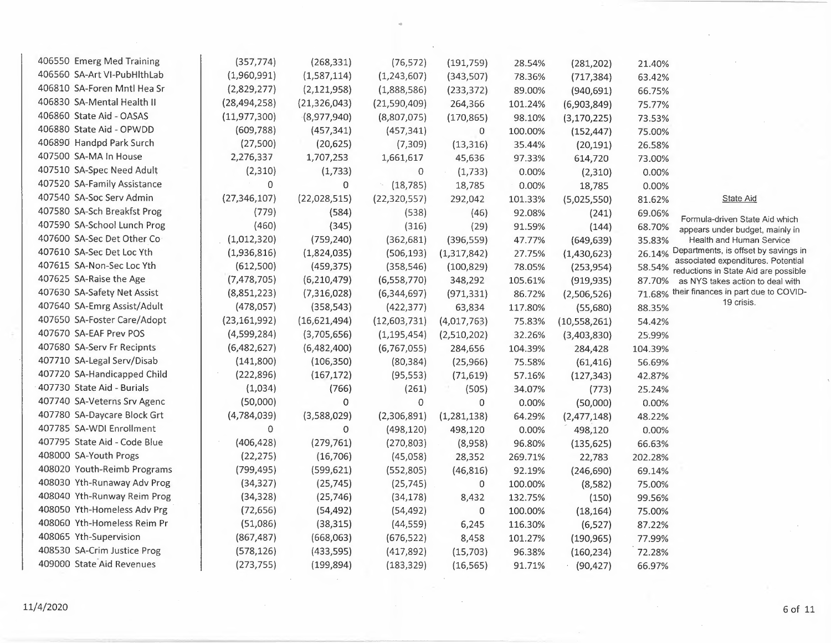| 406550 Emerg Med Training    | (357, 774)     | (268, 331)     | (76, 572)      | (191, 759)    | 28.54%  | (281, 202)     | 21.40%  |                                                                            |
|------------------------------|----------------|----------------|----------------|---------------|---------|----------------|---------|----------------------------------------------------------------------------|
| 406560 SA-Art VI-PubHlthLab  | (1,960,991)    | (1,587,114)    | (1, 243, 607)  | (343,507)     | 78.36%  | (717, 384)     | 63.42%  |                                                                            |
| 406810 SA-Foren Mntl Hea Sr  | (2,829,277)    | (2, 121, 958)  | (1,888,586)    | (233, 372)    | 89.00%  | (940, 691)     | 66.75%  |                                                                            |
| 406830 SA-Mental Health II   | (28, 494, 258) | (21, 326, 043) | (21,590,409)   | 264,366       | 101.24% | (6,903,849)    | 75.77%  |                                                                            |
| 406860 State Aid - OASAS     | (11, 977, 300) | (8,977,940)    | (8,807,075)    | (170, 865)    | 98.10%  | (3, 170, 225)  | 73.53%  |                                                                            |
| 406880 State Aid - OPWDD     | (609, 788)     | (457, 341)     | (457, 341)     | 0             | 100.00% | (152, 447)     | 75.00%  |                                                                            |
| 406890 Handpd Park Surch     | (27,500)       | (20, 625)      | (7,309)        | (13, 316)     | 35.44%  | (20, 191)      | 26.58%  |                                                                            |
| 407500 SA-MA In House        | 2,276,337      | 1,707,253      | 1,661,617      | 45,636        | 97.33%  | 614,720        | 73.00%  |                                                                            |
| 407510 SA-Spec Need Adult    | (2,310)        | (1, 733)       | $\mathbf 0$    | (1,733)       | 0.00%   | (2,310)        | 0.00%   |                                                                            |
| 407520 SA-Family Assistance  | 0              | 0              | (18, 785)      | 18,785        | 0.00%   | 18,785         | 0.00%   |                                                                            |
| 407540 SA-Soc Serv Admin     | (27, 346, 107) | (22,028,515)   | (22, 320, 557) | 292,042       | 101.33% | (5,025,550)    | 81.62%  | <b>State Aid</b>                                                           |
| 407580 SA-Sch Breakfst Prog  | (779)          | (584)          | (538)          | (46)          | 92.08%  | (241)          | 69.06%  |                                                                            |
| 407590 SA-School Lunch Prog  | (460)          | (345)          | (316)          | (29)          | 91.59%  | (144)          | 68.70%  | Formula-driven State Aid which<br>appears under budget, mainly in          |
| 407600 SA-Sec Det Other Co   | (1,012,320)    | (759, 240)     | (362, 681)     | (396, 559)    | 47.77%  | (649, 639)     | 35.83%  | Health and Human Service                                                   |
| 407610 SA-Sec Det Loc Yth    | (1,936,816)    | (1,824,035)    | (506, 193)     | (1,317,842)   | 27.75%  | (1,430,623)    | 26.14%  | Departments, is offset by savings in                                       |
| 407615 SA-Non-Sec Loc Yth    | (612,500)      | (459, 375)     | (358, 546)     | (100, 829)    | 78.05%  | (253, 954)     | 58.54%  | associated expenditures. Potential<br>reductions in State Aid are possible |
| 407625 SA-Raise the Age      | (7, 478, 705)  | (6, 210, 479)  | (6,558,770)    | 348,292       | 105.61% | (919, 935)     | 87.70%  | as NYS takes action to deal with                                           |
| 407630 SA-Safety Net Assist  | (8,851,223)    | (7,316,028)    | (6,344,697)    | (971, 331)    | 86.72%  | (2,506,526)    | 71.68%  | their finances in part due to COVID-                                       |
| 407640 SA-Emrg Assist/Adult  | (478, 057)     | (358, 543)     | (422, 377)     | 63,834        | 117.80% | (55,680)       | 88.35%  | 19 crisis.                                                                 |
| 407650 SA-Foster Care/Adopt  | (23, 161, 992) | (16,621,494)   | (12,603,731)   | (4,017,763)   | 75.83%  | (10, 558, 261) | 54.42%  |                                                                            |
| 407670 SA-EAF Prev POS       | (4,599,284)    | (3,705,656)    | (1, 195, 454)  | (2,510,202)   | 32.26%  | (3,403,830)    | 25.99%  |                                                                            |
| 407680 SA-Serv Fr Recipnts   | (6,482,627)    | (6,482,400)    | (6, 767, 055)  | 284,656       | 104.39% | 284,428        | 104.39% |                                                                            |
| 407710 SA-Legal Serv/Disab   | (141,800)      | (106, 350)     | (80, 384)      | (25, 966)     | 75.58%  | (61, 416)      | 56.69%  |                                                                            |
| 407720 SA-Handicapped Child  | (222,896)      | (167, 172)     | (95, 553)      | (71, 619)     | 57.16%  | (127, 343)     | 42.87%  |                                                                            |
| 407730 State Aid - Burials   | (1,034)        | (766)          | (261)          | (505)         | 34.07%  | (773)          | 25.24%  |                                                                            |
| 407740 SA-Veterns Srv Agenc  | (50,000)       | 0              | $\mathbf 0$    | $\mathbf{0}$  | 0.00%   | (50,000)       | 0.00%   |                                                                            |
| 407780 SA-Daycare Block Grt  | (4,784,039)    | (3,588,029)    | (2,306,891)    | (1, 281, 138) | 64.29%  | (2,477,148)    | 48.22%  |                                                                            |
| 407785 SA-WDI Enrollment     | 0              | 0              | (498, 120)     | 498,120       | 0.00%   | 498,120        | 0.00%   |                                                                            |
| 407795 State Aid - Code Blue | (406, 428)     | (279, 761)     | (270, 803)     | (8,958)       | 96.80%  | (135, 625)     | 66.63%  |                                                                            |
| 408000 SA-Youth Progs        | (22, 275)      | (16, 706)      | (45,058)       | 28,352        | 269.71% | 22,783         | 202.28% |                                                                            |
| 408020 Youth-Reimb Programs  | (799, 495)     | (599, 621)     | (552,805)      | (46, 816)     | 92.19%  | (246, 690)     | 69.14%  |                                                                            |
| 408030 Yth-Runaway Adv Prog  | (34, 327)      | (25, 745)      | (25, 745)      | 0             | 100.00% | (8, 582)       | 75.00%  |                                                                            |
| 408040 Yth-Runway Reim Prog  | (34, 328)      | (25, 746)      | (34, 178)      | 8,432         | 132.75% | (150)          | 99.56%  |                                                                            |
| 408050 Yth-Homeless Adv Prg  | (72, 656)      | (54, 492)      | (54, 492)      | 0             | 100.00% | (18, 164)      | 75.00%  |                                                                            |
| 408060 Yth-Homeless Reim Pr  | (51,086)       | (38, 315)      | (44, 559)      | 6,245         | 116.30% | (6, 527)       | 87.22%  |                                                                            |
| 408065 Yth-Supervision       | (867, 487)     | (668,063)      | (676, 522)     | 8,458         | 101.27% | (190, 965)     | 77.99%  |                                                                            |
| 408530 SA-Crim Justice Prog  | (578, 126)     | (433,595)      | (417, 892)     | (15,703)      | 96.38%  | (160, 234)     | 72.28%  |                                                                            |
| 409000 State Aid Revenues    | (273, 755)     | (199, 894)     | (183, 329)     | (16, 565)     | 91.71%  | (90, 427)      | 66.97%  |                                                                            |

•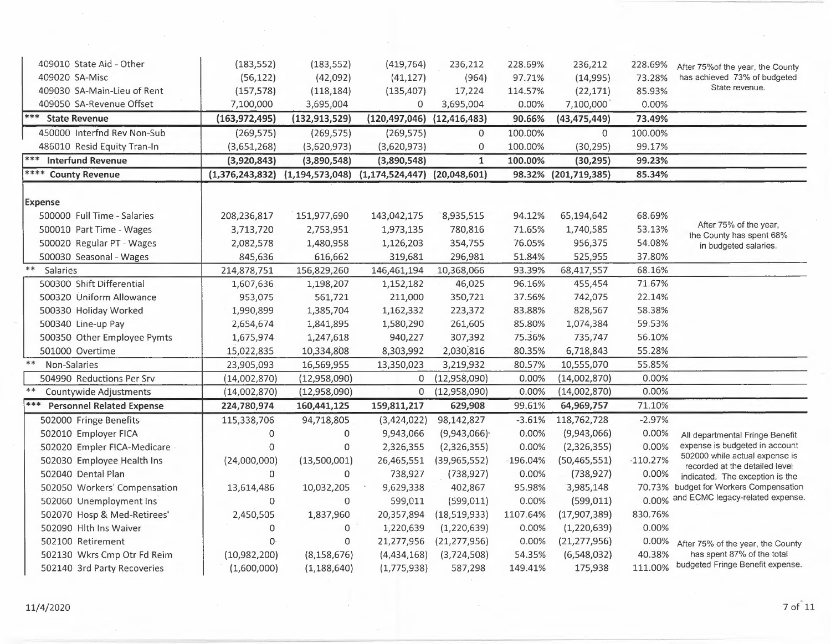| 409010 State Aid - Other         | (183, 552)      | (183, 552)                          | (419, 764)                         | 236,212                    | 228.69%    | 236,212              | 228.69%    |                                                                   |
|----------------------------------|-----------------|-------------------------------------|------------------------------------|----------------------------|------------|----------------------|------------|-------------------------------------------------------------------|
| 409020 SA-Misc                   | (56, 122)       | (42,092)                            | (41, 127)                          | (964)                      | 97.71%     | (14,995)             | 73.28%     | After 75% of the year, the County<br>has achieved 73% of budgeted |
| 409030 SA-Main-Lieu of Rent      | (157, 578)      | (118, 184)                          | (135, 407)                         | 17,224                     | 114.57%    | (22, 171)            | 85.93%     | State revenue.                                                    |
| 409050 SA-Revenue Offset         | 7,100,000       | 3,695,004                           | 0                                  | 3,695,004                  | 0.00%      | 7,100,000            | 0.00%      |                                                                   |
| *** State Revenue                | (163, 972, 495) | (132, 913, 529)                     | $(120, 497, 046)$ $(12, 416, 483)$ |                            | 90.66%     | (43, 475, 449)       | 73.49%     |                                                                   |
| 450000 Interfnd Rev Non-Sub      | (269, 575)      | (269, 575)                          | (269, 575)                         | $\Omega$                   | 100.00%    | $\Omega$             | 100.00%    |                                                                   |
| 486010 Resid Equity Tran-In      | (3,651,268)     | (3,620,973)                         | (3,620,973)                        | $\mathbf 0$                | 100.00%    | (30, 295)            | 99.17%     |                                                                   |
| ***<br><b>Interfund Revenue</b>  | (3,920,843)     | (3,890,548)                         | (3,890,548)                        | $\mathbf{1}$               | 100.00%    | (30, 295)            | 99.23%     |                                                                   |
| <b>**** County Revenue</b>       |                 | $(1,376,243,832)$ $(1,194,573,048)$ | $(1,174,524,447)$ $(20,048,601)$   |                            |            | 98.32% (201,719,385) | 85.34%     |                                                                   |
| <b>Expense</b>                   |                 |                                     |                                    |                            |            |                      |            |                                                                   |
| 500000 Full Time - Salaries      | 208,236,817     | 151,977,690                         | 143,042,175                        | 8,935,515                  | 94.12%     | 65,194,642           | 68.69%     |                                                                   |
| 500010 Part Time - Wages         | 3,713,720       | 2,753,951                           | 1,973,135                          | 780,816                    | 71.65%     | 1,740,585            | 53.13%     | After 75% of the year,                                            |
| 500020 Regular PT - Wages        | 2,082,578       | 1,480,958                           | 1,126,203                          | 354,755                    | 76.05%     | 956,375              | 54.08%     | the County has spent 68%<br>in budgeted salaries.                 |
| 500030 Seasonal - Wages          | 845,636         | 616,662                             | 319,681                            | 296,981                    | 51.84%     | 525,955              | 37.80%     |                                                                   |
| $***$<br>Salaries                | 214,878,751     | 156,829,260                         | 146,461,194                        | 10,368,066                 | 93.39%     | 68,417,557           | 68.16%     |                                                                   |
| 500300 Shift Differential        | 1,607,636       | 1,198,207                           | 1,152,182                          | 46,025                     | 96.16%     | 455,454              | 71.67%     |                                                                   |
| 500320 Uniform Allowance         | 953,075         | 561,721                             | 211,000                            | 350,721                    | 37.56%     | 742,075              | 22.14%     |                                                                   |
| 500330 Holiday Worked            | 1,990,899       | 1,385,704                           | 1,162,332                          | 223,372                    | 83.88%     | 828,567              | 58.38%     |                                                                   |
| 500340 Line-up Pay               | 2,654,674       | 1,841,895                           | 1,580,290                          | 261,605                    | 85.80%     | 1,074,384            | 59.53%     |                                                                   |
| 500350 Other Employee Pymts      | 1,675,974       | 1,247,618                           | 940,227                            | 307,392                    | 75.36%     | 735,747              | 56.10%     |                                                                   |
| 501000 Overtime                  | 15,022,835      | 10,334,808                          | 8,303,992                          | 2,030,816                  | 80.35%     | 6,718,843            | 55.28%     |                                                                   |
| $***$<br>Non-Salaries            | 23,905,093      | 16,569,955                          | 13,350,023                         | 3,219,932                  | 80.57%     | 10,555,070           | 55.85%     |                                                                   |
| 504990 Reductions Per Srv        | (14,002,870)    | (12,958,090)                        | 0                                  | (12,958,090)               | 0.00%      | (14,002,870)         | 0.00%      |                                                                   |
| $***$<br>Countywide Adjustments  | (14,002,870)    | (12,958,090)                        | 0                                  | (12,958,090)               | 0.00%      | (14,002,870)         | 0.00%      |                                                                   |
| <b>Personnel Related Expense</b> | 224,780,974     | 160,441,125                         | 159,811,217                        | 629,908                    | 99.61%     | 64,969,757           | 71.10%     |                                                                   |
| 502000 Fringe Benefits           | 115,338,706     | 94,718,805                          | (3,424,022)                        | 98,142,827                 | $-3.61%$   | 118,762,728          | $-2.97%$   |                                                                   |
| 502010 Employer FICA             | $\mathbf 0$     | 0                                   | 9,943,066                          | $(9,943,066)$ <sup>-</sup> | 0.00%      | (9,943,066)          | 0.00%      | All departmental Fringe Benefit                                   |
| 502020 Empler FICA-Medicare      | $\mathbf 0$     | 0                                   | 2,326,355                          | (2,326,355)                | 0.00%      | (2,326,355)          | 0.00%      | expense is budgeted in account                                    |
| 502030 Employee Health Ins       | (24,000,000)    | (13,500,001)                        | 26,465,551                         | (39,965,552)               | $-196.04%$ | (50, 465, 551)       | $-110.27%$ | 502000 while actual expense is<br>recorded at the detailed level  |
| 502040 Dental Plan               | $\mathbf 0$     | 0                                   | 738,927                            | (738, 927)                 | 0.00%      | (738, 927)           | 0.00%      | indicated. The exception is the                                   |
| 502050 Workers' Compensation     | 13,614,486      | 10,032,205                          | 9,629,338                          | 402,867                    | 95.98%     | 3,985,148            | 70.73%     | budget for Workers Compensation                                   |
| 502060 Unemployment Ins          | 0               | $\Omega$                            | 599,011                            | (599, 011)                 | 0.00%      | (599, 011)           | 0.00%      | and ECMC legacy-related expense.                                  |
| 502070 Hosp & Med-Retirees'      | 2,450,505       | 1,837,960                           | 20,357,894                         | (18, 519, 933)             | 1107.64%   | (17,907,389)         | 830.76%    |                                                                   |
| 502090 Hlth Ins Waiver           | 0               | $\mathbf 0$                         | 1,220,639                          | (1, 220, 639)              | 0.00%      | (1,220,639)          | 0.00%      |                                                                   |
| 502100 Retirement                | $\Omega$        | 0                                   | 21,277,956                         | (21, 277, 956)             | 0.00%      | (21, 277, 956)       | 0.00%      | After 75% of the year, the County                                 |
| 502130 Wkrs Cmp Otr Fd Reim      | (10,982,200)    | (8, 158, 676)                       | (4,434,168)                        | (3,724,508)                | 54.35%     | (6,548,032)          | 40.38%     | has spent 87% of the total                                        |
| 502140 3rd Party Recoveries      | (1,600,000)     | (1, 188, 640)                       | (1,775,938)                        | 587,298                    | 149.41%    | 175,938              | 111.00%    | budgeted Fringe Benefit expense.                                  |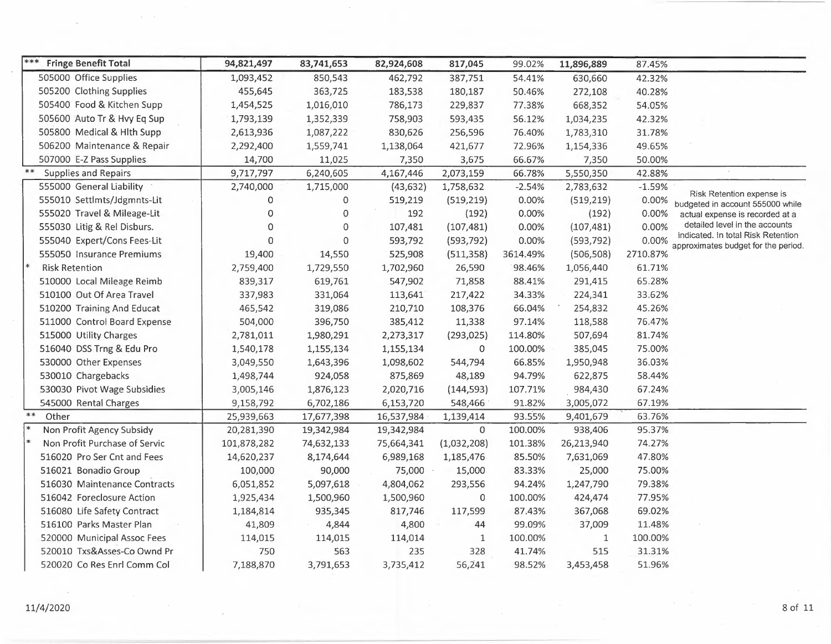| ***<br><b>Fringe Benefit Total</b> | 94,821,497   | 83,741,653 | 82,924,608 | 817,045      | 99.02%   | 11,896,889   | 87.45%   |                                                                           |
|------------------------------------|--------------|------------|------------|--------------|----------|--------------|----------|---------------------------------------------------------------------------|
| 505000 Office Supplies             | 1,093,452    | 850,543    | 462,792    | 387,751      | 54.41%   | 630,660      | 42.32%   |                                                                           |
| 505200 Clothing Supplies           | 455,645      | 363,725    | 183,538    | 180,187      | 50.46%   | 272,108      | 40.28%   |                                                                           |
| 505400 Food & Kitchen Supp         | 1,454,525    | 1,016,010  | 786,173    | 229,837      | 77.38%   | 668,352      | 54.05%   |                                                                           |
| 505600 Auto Tr & Hvy Eq Sup        | 1,793,139    | 1,352,339  | 758,903    | 593,435      | 56.12%   | 1,034,235    | 42.32%   |                                                                           |
| 505800 Medical & Hlth Supp         | 2,613,936    | 1,087,222  | 830,626    | 256,596      | 76.40%   | 1,783,310    | 31.78%   |                                                                           |
| 506200 Maintenance & Repair        | 2,292,400    | 1,559,741  | 1,138,064  | 421,677      | 72.96%   | 1,154,336    | 49.65%   |                                                                           |
| 507000 E-Z Pass Supplies           | 14,700       | 11,025     | 7,350      | 3,675        | 66.67%   | 7,350        | 50.00%   |                                                                           |
| $***$<br>Supplies and Repairs      | 9,717,797    | 6,240,605  | 4,167,446  | 2,073,159    | 66.78%   | 5,550,350    | 42.88%   |                                                                           |
| 555000 General Liability           | 2,740,000    | 1,715,000  | (43, 632)  | 1,758,632    | $-2.54%$ | 2,783,632    | $-1.59%$ |                                                                           |
| 555010 Settlmts/Jdgmnts-Lit        | 0            | 0          | 519,219    | (519, 219)   | 0.00%    | (519, 219)   | 0.00%    | Risk Retention expense is<br>budgeted in account 555000 while             |
| 555020 Travel & Mileage-Lit        | 0            | 0          | 192        | (192)        | 0.00%    | (192)        | 0.00%    | actual expense is recorded at a                                           |
| 555030 Litig & Rel Disburs.        | 0            | 0          | 107,481    | (107, 481)   | 0.00%    | (107, 481)   | 0.00%    | detailed level in the accounts                                            |
| 555040 Expert/Cons Fees-Lit        | $\mathbf{0}$ | 0          | 593,792    | (593, 792)   | 0.00%    | (593, 792)   | 0.00%    | indicated. In total Risk Retention<br>approximates budget for the period. |
| 555050 Insurance Premiums          | 19,400       | 14,550     | 525,908    | (511, 358)   | 3614.49% | (506, 508)   | 2710.87% |                                                                           |
| <b>Risk Retention</b>              | 2,759,400    | 1,729,550  | 1,702,960  | 26,590       | 98.46%   | 1,056,440    | 61.71%   |                                                                           |
| 510000 Local Mileage Reimb         | 839,317      | 619,761    | 547,902    | 71,858       | 88.41%   | 291,415      | 65.28%   |                                                                           |
| 510100 Out Of Area Travel          | 337,983      | 331,064    | 113,641    | 217,422      | 34.33%   | 224,341      | 33.62%   |                                                                           |
| 510200 Training And Educat         | 465,542      | 319,086    | 210,710    | 108,376      | 66.04%   | 254,832      | 45.26%   |                                                                           |
| 511000 Control Board Expense       | 504,000      | 396,750    | 385,412    | 11,338       | 97.14%   | 118,588      | 76.47%   |                                                                           |
| 515000 Utility Charges             | 2,781,011    | 1,980,291  | 2,273,317  | (293, 025)   | 114.80%  | 507,694      | 81.74%   |                                                                           |
| 516040 DSS Trng & Edu Pro          | 1,540,178    | 1,155,134  | 1,155,134  | $\mathbf 0$  | 100.00%  | 385,045      | 75.00%   |                                                                           |
| 530000 Other Expenses              | 3,049,550    | 1,643,396  | 1,098,602  | 544,794      | 66.85%   | 1,950,948    | 36.03%   |                                                                           |
| 530010 Chargebacks                 | 1,498,744    | 924,058    | 875,869    | 48,189       | 94.79%   | 622,875      | 58.44%   |                                                                           |
| 530030 Pivot Wage Subsidies        | 3,005,146    | 1,876,123  | 2,020,716  | (144, 593)   | 107.71%  | 984,430      | 67.24%   |                                                                           |
| 545000 Rental Charges              | 9,158,792    | 6,702,186  | 6,153,720  | 548,466      | 91.82%   | 3,005,072    | 67.19%   |                                                                           |
| $***$<br>Other                     | 25,939,663   | 17,677,398 | 16,537,984 | 1,139,414    | 93.55%   | 9,401,679    | 63.76%   |                                                                           |
| Non Profit Agency Subsidy          | 20,281,390   | 19,342,984 | 19,342,984 | $\mathbf 0$  | 100.00%  | 938,406      | 95.37%   |                                                                           |
| Non Profit Purchase of Servic      | 101,878,282  | 74,632,133 | 75,664,341 | (1,032,208)  | 101.38%  | 26,213,940   | 74.27%   |                                                                           |
| 516020 Pro Ser Cnt and Fees        | 14,620,237   | 8,174,644  | 6,989,168  | 1,185,476    | 85.50%   | 7,631,069    | 47.80%   |                                                                           |
| 516021 Bonadio Group               | 100,000      | 90,000     | 75,000     | 15,000       | 83.33%   | 25,000       | 75.00%   |                                                                           |
| 516030 Maintenance Contracts       | 6,051,852    | 5,097,618  | 4,804,062  | 293,556      | 94.24%   | 1,247,790    | 79.38%   |                                                                           |
| 516042 Foreclosure Action          | 1,925,434    | 1,500,960  | 1,500,960  | 0            | 100.00%  | 424,474      | 77.95%   |                                                                           |
| 516080 Life Safety Contract        | 1,184,814    | 935,345    | 817,746    | 117,599      | 87.43%   | 367,068      | 69.02%   |                                                                           |
| 516100 Parks Master Plan           | 41,809       | 4,844      | 4,800      | 44           | 99.09%   | 37,009       | 11.48%   |                                                                           |
| 520000 Municipal Assoc Fees        | 114,015      | 114,015    | 114,014    | $\mathbf{1}$ | 100.00%  | $\mathbf{1}$ | 100.00%  |                                                                           |
| 520010 Txs&Asses-Co Ownd Pr        | 750          | 563        | 235        | 328          | 41.74%   | 515          | 31.31%   |                                                                           |
| 520020 Co Res Enrl Comm Col        | 7,188,870    | 3,791,653  | 3,735,412  | 56,241       | 98.52%   | 3,453,458    | 51.96%   |                                                                           |

 $\mathcal{A}$ 

 $\sim 10^{-1}$  eV

 $\sim$ 

 $\sim$   $\sim$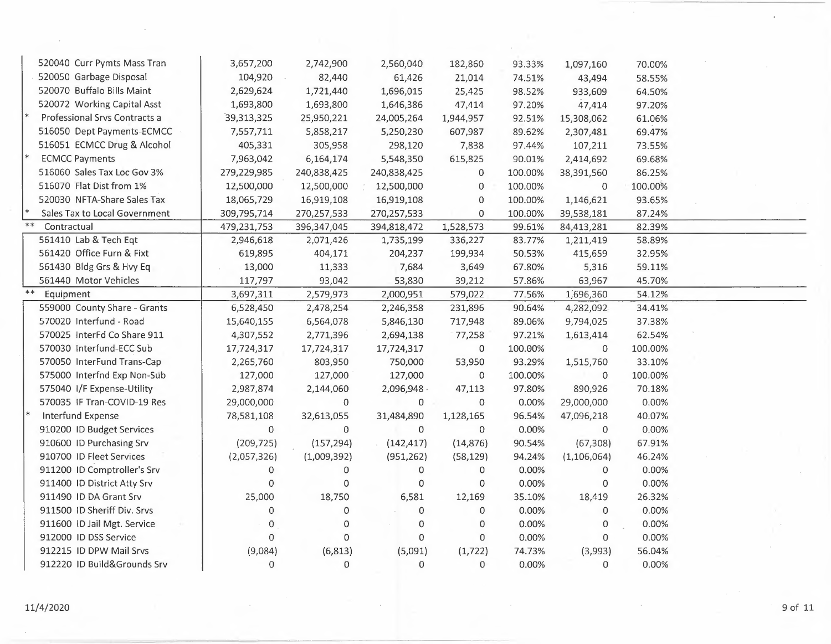| 520040 Curr Pymts Mass Tran   | 3,657,200    | 2,742,900   | 2,560,040   | 182,860        | 93.33%  | 1,097,160      | 70.00%  |  |
|-------------------------------|--------------|-------------|-------------|----------------|---------|----------------|---------|--|
| 520050 Garbage Disposal       | 104,920      | 82,440      | 61,426      | 21,014         | 74.51%  | 43,494         | 58.55%  |  |
| 520070 Buffalo Bills Maint    | 2,629,624    | 1,721,440   | 1,696,015   | 25,425         | 98.52%  | 933,609        | 64.50%  |  |
| 520072 Working Capital Asst   | 1,693,800    | 1,693,800   | 1,646,386   | 47,414         | 97.20%  | 47,414         | 97.20%  |  |
| Professional Srvs Contracts a | 39,313,325   | 25,950,221  | 24,005,264  | 1,944,957      | 92.51%  | 15,308,062     | 61.06%  |  |
| 516050 Dept Payments-ECMCC    | 7,557,711    | 5,858,217   | 5,250,230   | 607,987        | 89.62%  | 2,307,481      | 69.47%  |  |
| 516051 ECMCC Drug & Alcohol   | 405,331      | 305,958     | 298,120     | 7,838          | 97.44%  | 107,211        | 73.55%  |  |
| <b>ECMCC Payments</b>         | 7,963,042    | 6,164,174   | 5,548,350   | 615,825        | 90.01%  | 2,414,692      | 69.68%  |  |
| 516060 Sales Tax Loc Gov 3%   | 279,229,985  | 240,838,425 | 240,838,425 | 0              | 100.00% | 38,391,560     | 86.25%  |  |
| 516070 Flat Dist from 1%      | 12,500,000   | 12,500,000  | 12,500,000  | 0              | 100.00% | $\mathbf 0$    | 100.00% |  |
| 520030 NFTA-Share Sales Tax   | 18,065,729   | 16,919,108  | 16,919,108  | $\mathbf 0$    | 100.00% | 1,146,621      | 93.65%  |  |
| Sales Tax to Local Government | 309,795,714  | 270,257,533 | 270,257,533 | 0              | 100.00% | 39,538,181     | 87.24%  |  |
| $**$<br>Contractual           | 479,231,753  | 396,347,045 | 394,818,472 | 1,528,573      | 99.61%  | 84,413,281     | 82.39%  |  |
| 561410 Lab & Tech Eqt         | 2,946,618    | 2,071,426   | 1,735,199   | 336,227        | 83.77%  | 1,211,419      | 58.89%  |  |
| 561420 Office Furn & Fixt     | 619,895      | 404,171     | 204,237     | 199,934        | 50.53%  | 415,659        | 32.95%  |  |
| 561430 Bldg Grs & Hvy Eq      | 13,000       | 11,333      | 7,684       | 3,649          | 67.80%  | 5,316          | 59.11%  |  |
| 561440 Motor Vehicles         | 117,797      | 93,042      | 53,830      | 39,212         | 57.86%  | 63,967         | 45.70%  |  |
| $**$<br>Equipment             | 3,697,311    | 2,579,973   | 2,000,951   | 579,022        | 77.56%  | 1,696,360      | 54.12%  |  |
| 559000 County Share - Grants  | 6,528,450    | 2,478,254   | 2,246,358   | 231,896        | 90.64%  | 4,282,092      | 34.41%  |  |
| 570020 Interfund - Road       | 15,640,155   | 6,564,078   | 5,846,130   | 717,948        | 89.06%  | 9,794,025      | 37.38%  |  |
| 570025 InterFd Co Share 911   | 4,307,552    | 2,771,396   | 2,694,138   | 77,258         | 97.21%  | 1,613,414      | 62.54%  |  |
| 570030 Interfund-ECC Sub      | 17,724,317   | 17,724,317  | 17,724,317  | 0              | 100.00% | 0              | 100.00% |  |
| 570050 InterFund Trans-Cap    | 2,265,760    | 803,950     | 750,000     | 53,950         | 93.29%  | 1,515,760      | 33.10%  |  |
| 575000 Interfnd Exp Non-Sub   | 127,000      | 127,000     | 127,000     | 0              | 100.00% | 0              | 100.00% |  |
| 575040 I/F Expense-Utility    | 2,987,874    | 2,144,060   | 2,096,948 - | 47,113         | 97.80%  | 890,926        | 70.18%  |  |
| 570035 IF Tran-COVID-19 Res   | 29,000,000   | $\mathbf 0$ | 0           | $\mathbf 0$    | 0.00%   | 29,000,000     | 0.00%   |  |
| Interfund Expense             | 78,581,108   | 32,613,055  | 31,484,890  | 1,128,165      | 96.54%  | 47,096,218     | 40.07%  |  |
| 910200 ID Budget Services     | $\mathbf 0$  | $\mathbf 0$ | $\mathbf 0$ | $\mathbf 0$    | 0.00%   | $\mathbf{0}$   | 0.00%   |  |
| 910600 ID Purchasing Srv      | (209, 725)   | (157, 294)  | (142, 417)  | (14, 876)      | 90.54%  | (67, 308)      | 67.91%  |  |
| 910700 ID Fleet Services      | (2,057,326)  | (1,009,392) | (951, 262)  | (58, 129)      | 94.24%  | (1, 106, 064)  | 46.24%  |  |
| 911200 ID Comptroller's Srv   | $\mathbf 0$  | 0           | 0           | 0              | 0.00%   | $\overline{0}$ | 0.00%   |  |
| 911400 ID District Atty Srv   | 0            | $\mathsf 0$ | $\mathbf 0$ | 0              | 0.00%   | $\overline{0}$ | 0.00%   |  |
| 911490 ID DA Grant Srv        | 25,000       | 18,750      | 6,581       | 12,169         | 35.10%  | 18,419         | 26.32%  |  |
| 911500 ID Sheriff Div. Srvs   | $\mathbf{0}$ | 0           | $\mathbf 0$ | $\overline{0}$ | 0.00%   | $\mathbf{0}$   | 0.00%   |  |
| 911600 ID Jail Mgt. Service   | $\mathbf 0$  | 0           | $\mathbf 0$ | 0              | 0.00%   | 0              | 0.00%   |  |
| 912000 ID DSS Service         | $\Omega$     | 0           | $\circ$     | 0              | 0.00%   | $\mathbf{O}$   | 0.00%   |  |
| 912215 ID DPW Mail Srvs       | (9,084)      | (6, 813)    | (5,091)     | (1, 722)       | 74.73%  | (3,993)        | 56.04%  |  |
| 912220 ID Build&Grounds Srv   | $\Omega$     | 0           | 0           | 0              | 0.00%   | 0              | 0.00%   |  |
|                               |              |             |             |                |         |                |         |  |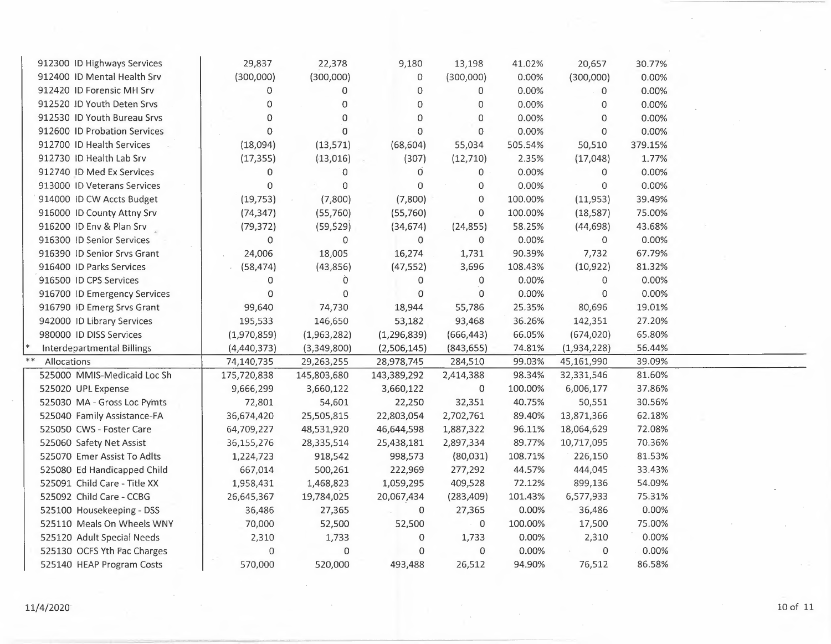|            | 912300 ID Highways Services       | 29,837         | 22,378         | 9,180          | 13,198              | 41.02%  | 20,657         | 30.77%  |  |
|------------|-----------------------------------|----------------|----------------|----------------|---------------------|---------|----------------|---------|--|
|            | 912400 ID Mental Health Srv       | (300,000)      | (300,000)      | 0              | (300,000)           | 0.00%   | (300,000)      | 0.00%   |  |
|            | 912420 ID Forensic MH Srv         | $\mathbf 0$    | $\Omega$       | $\Omega$       | 0                   | 0.00%   | $\overline{0}$ | 0.00%   |  |
|            | 912520 JD Youth Deten Srvs        | $\Omega$       | $\Omega$       | 0              | 0                   | 0.00%   | 0              | 0.00%   |  |
|            | 912530 ID Youth Bureau Srvs       | $\overline{0}$ | $\mathbf 0$    | $\mathbf 0$    | 0                   | 0.00%   | $\Omega$       | 0.00%   |  |
|            | 912600 ID Probation Services      | $\Omega$       | $\Omega$       | 0              | 0                   | 0.00%   | $\Omega$       | 0.00%   |  |
|            | 912700 ID Health Services         | (18,094)       | (13, 571)      | (68, 604)      | 55,034              | 505.54% | 50,510         | 379.15% |  |
|            | 912730 ID Health Lab Srv          | (17, 355)      | (13,016)       | (307)          | (12, 710)           | 2.35%   | (17,048)       | 1.77%   |  |
|            | 912740 ID Med Ex Services         | 0              | $\mathbf 0$    | $\overline{0}$ | $\mathbf{0}$        | 0.00%   | 0              | 0.00%   |  |
|            | 913000 ID Veterans Services       | $\mathbf 0$    | $\mathbf 0$    | 0              | 0                   | 0.00%   | $\mathbf 0$    | 0.00%   |  |
|            | 914000 ID CW Accts Budget         | (19, 753)      | (7,800)        | (7,800)        | $\mathsf{O}\xspace$ | 100.00% | (11,953)       | 39.49%  |  |
|            | 916000 ID County Attny Srv        | (74, 347)      | (55,760)       | (55,760)       | $\mathbf 0$         | 100.00% | (18, 587)      | 75.00%  |  |
|            | 916200 ID Env & Plan Srv          | (79, 372)      | (59, 529)      | (34, 674)      | (24, 855)           | 58.25%  | (44, 698)      | 43.68%  |  |
|            | 916300 ID Senior Services         | $\mathbf 0$    | $\mathbf{0}$   | $\circ$        | $\Omega$            | 0.00%   | $\mathbf{0}$   | 0.00%   |  |
|            | 916390 ID Senior Srvs Grant       | 24,006         | 18,005         | 16,274         | 1,731               | 90.39%  | 7,732          | 67.79%  |  |
|            | 916400 ID Parks Services          | (58, 474)      | (43, 856)      | (47, 552)      | 3,696               | 108.43% | (10, 922)      | 81.32%  |  |
|            | 916500 ID CPS Services            | 0              | $\overline{O}$ | 0              | $\Omega$            | 0.00%   | $\mathbf{0}$   | 0.00%   |  |
|            | 916700 ID Emergency Services      | 0              | $\Omega$       | 0              | $\mathbf 0$         | 0.00%   | $\mathbf 0$    | 0.00%   |  |
|            | 916790 ID Emerg Srvs Grant        | 99,640         | 74,730         | 18,944         | 55,786              | 25.35%  | 80,696         | 19.01%  |  |
|            | 942000 ID Library Services        | 195,533        | 146,650        | 53,182         | 93,468              | 36.26%  | 142,351        | 27.20%  |  |
|            | 980000 ID DISS Services           | (1,970,859)    | (1,963,282)    | (1, 296, 839)  | (666, 443)          | 66.05%  | (674, 020)     | 65.80%  |  |
|            | <b>Interdepartmental Billings</b> | (4,440,373)    | (3,349,800)    | (2,506,145)    | (843, 655)          | 74.81%  | (1,934,228)    | 56.44%  |  |
| $\ast\ast$ | Allocations                       | 74,140,735     | 29,263,255     | 28,978,745     | 284,510             | 99.03%  | 45,161,990     | 39.09%  |  |
|            | 525000 MMIS-Medicaid Loc Sh       | 175,720,838    | 145,803,680    | 143,389,292    | 2,414,388           | 98.34%  | 32,331,546     | 81.60%  |  |
|            | 525020 UPL Expense                | 9,666,299      | 3,660,122      | 3,660,122      | 0                   | 100.00% | 6,006,177      | 37.86%  |  |
|            | 525030 MA - Gross Loc Pymts       | 72,801         | 54,601         | 22,250         | 32,351              | 40.75%  | 50,551         | 30.56%  |  |
|            | 525040 Family Assistance-FA       | 36,674,420     | 25,505,815     | 22,803,054     | 2,702,761           | 89.40%  | 13,871,366     | 62.18%  |  |
|            | 525050 CWS - Foster Care          | 64,709,227     | 48,531,920     | 46,644,598     | 1,887,322           | 96.11%  | 18,064,629     | 72.08%  |  |
|            | 525060 Safety Net Assist          | 36,155,276     | 28,335,514     | 25,438,181     | 2,897,334           | 89.77%  | 10,717,095     | 70.36%  |  |
|            | 525070 Emer Assist To Adlts       | 1,224,723      | 918,542        | 998,573        | (80,031)            | 108.71% | 226,150        | 81.53%  |  |
|            | 525080 Ed Handicapped Child       | 667,014        | 500,261        | 222,969        | 277,292             | 44.57%  | 444,045        | 33.43%  |  |
|            | 525091 Child Care - Title XX      | 1,958,431      | 1,468,823      | 1,059,295      | 409,528             | 72.12%  | 899,136        | 54.09%  |  |
|            | 525092 Child Care - CCBG          | 26,645,367     | 19,784,025     | 20,067,434     | (283, 409)          | 101.43% | 6,577,933      | 75.31%  |  |
|            | 525100 Housekeeping - DSS         | 36,486         | 27,365         | 0              | 27,365              | 0.00%   | 36,486         | 0.00%   |  |
|            | 525110 Meals On Wheels WNY        | 70,000         | 52,500         | 52,500         | 0                   | 100.00% | 17,500         | 75.00%  |  |
|            | 525120 Adult Special Needs        | 2,310          | 1,733          | 0              | 1,733               | 0.00%   | 2,310          | 0.00%   |  |
|            | 525130 OCFS Yth Fac Charges       | 0              | $\Omega$       | 0              | $\mathbf{0}$        | 0.00%   | $\mathbf{O}$   | 0.00%   |  |
|            | 525140 HEAP Program Costs         | 570,000        | 520,000        | 493,488        | 26,512              | 94.90%  | 76,512         | 86.58%  |  |
|            |                                   |                |                |                |                     |         |                |         |  |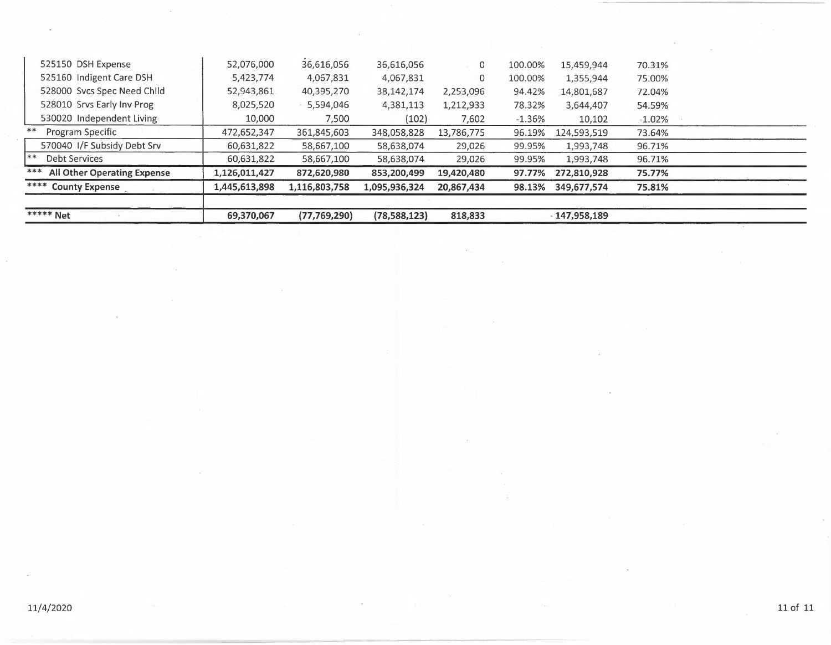| <b>***** Net</b>                          | 69,370,067    | (77, 769, 290) | (78, 588, 123) | 818,833        |          | $-147.958.189$ |          |  |
|-------------------------------------------|---------------|----------------|----------------|----------------|----------|----------------|----------|--|
| **** County Expense                       | 1,445,613,898 | 1,116,803,758  | 1,095,936,324  | 20,867,434     | 98.13%   | 349,677,574    | 75.81%   |  |
| ***<br><b>All Other Operating Expense</b> | 1,126,011,427 | 872,620,980    | 853,200,499    | 19,420,480     | 97.77%   | 272,810,928    | 75.77%   |  |
| $* *$<br><b>Debt Services</b>             | 60,631,822    | 58,667,100     | 58,638,074     | 29,026         | 99.95%   | 1,993,748      | 96.71%   |  |
| 570040 I/F Subsidy Debt Srv               | 60,631,822    | 58,667,100     | 58,638,074     | 29,026         | 99.95%   | 1,993,748      | 96.71%   |  |
| **<br>Program Specific                    | 472.652.347   | 361,845,603    | 348,058,828    | 13,786,775     | 96.19%   | 124,593,519    | 73.64%   |  |
| 530020 Independent Living                 | 10,000        | 7,500          | (102)          | 7,602          | $-1.36%$ | 10,102         | $-1.02%$ |  |
| 528010 Srvs Early Inv Prog                | 8,025,520     | $-5,594,046$   | 4,381,113      | 1,212,933      | 78.32%   | 3,644,407      | 54.59%   |  |
| 528000 Sycs Spec Need Child               | 52,943,861    | 40,395,270     | 38,142,174     | 2,253,096      | 94.42%   | 14,801,687     | 72.04%   |  |
| 525160 Indigent Care DSH                  | 5,423,774     | 4,067,831      | 4,067,831      | 0              | 100.00%  | 1,355,944      | 75.00%   |  |
| 525150 DSH Expense                        | 52,076,000    | 36,616,056     | 36,616,056     | $\overline{0}$ | 100.00%  | 15,459,944     | 70.31%   |  |